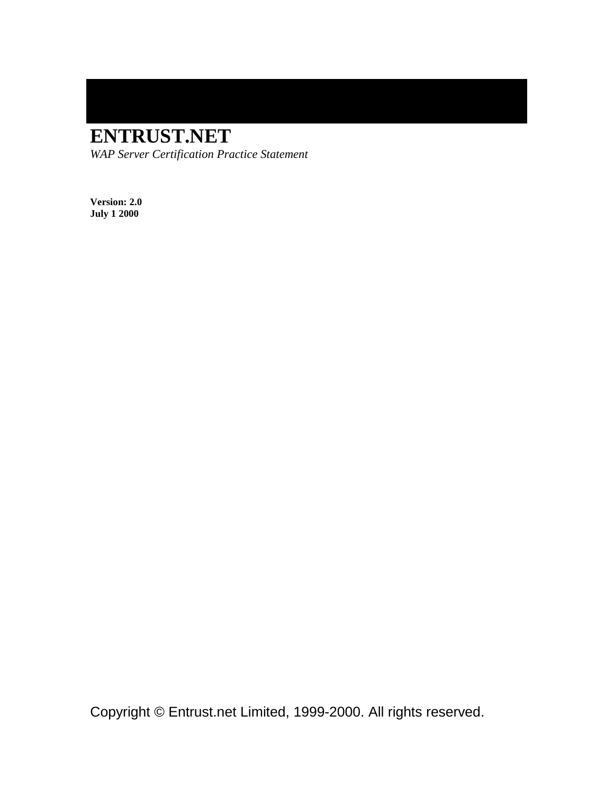# **ENTRUST.NET**

*WAP Server Certification Practice Statement* 

**Version: 2.0 July 1 2000** 

Copyright © Entrust.net Limited, 1999-2000. All rights reserved.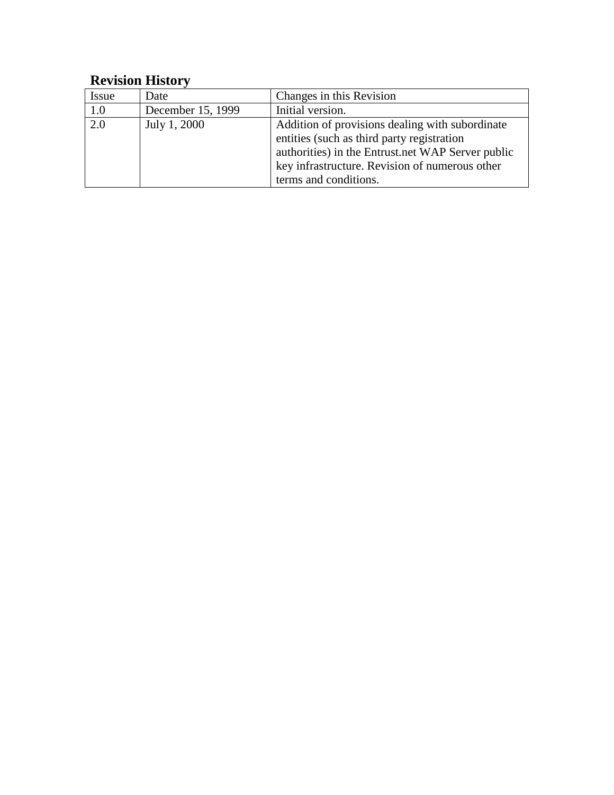## **Revision History**

| Issue | Date              | Changes in this Revision                                                                                                                                                                                                      |
|-------|-------------------|-------------------------------------------------------------------------------------------------------------------------------------------------------------------------------------------------------------------------------|
| 1.0   | December 15, 1999 | Initial version.                                                                                                                                                                                                              |
| 2.0   | July 1, 2000      | Addition of provisions dealing with subordinate<br>entities (such as third party registration<br>authorities) in the Entrust.net WAP Server public<br>key infrastructure. Revision of numerous other<br>terms and conditions. |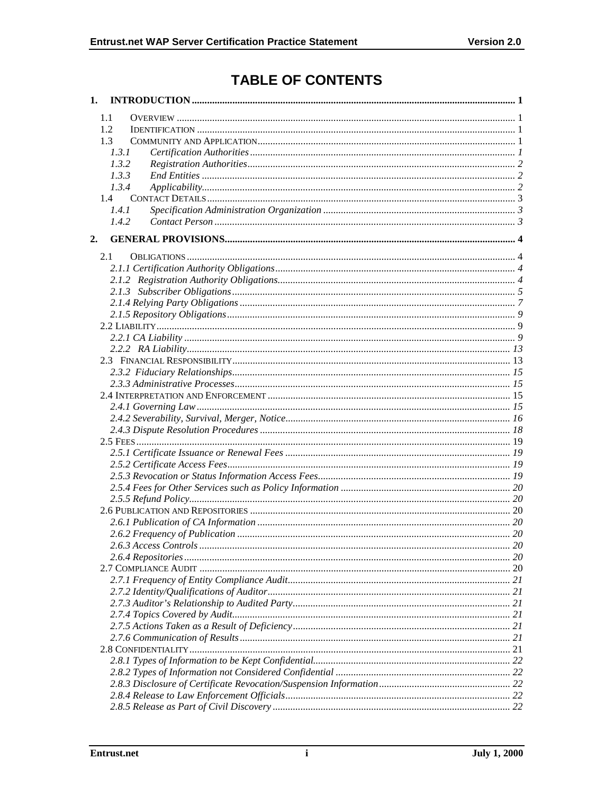## **TABLE OF CONTENTS**

|    | 1.1                 |              |
|----|---------------------|--------------|
|    | 1.2                 |              |
|    | 1.3                 |              |
|    | 1.3.1               |              |
|    | 1.3.2               |              |
|    | 1.3.3               |              |
|    | 1.3.4               |              |
|    | 1.4                 |              |
|    | 1.4.1               |              |
|    | 1.4.2               |              |
| 2. |                     |              |
|    |                     |              |
|    | 2.1                 |              |
|    |                     |              |
|    |                     |              |
|    |                     |              |
|    |                     |              |
|    |                     |              |
|    |                     |              |
|    |                     |              |
|    |                     |              |
|    |                     |              |
|    |                     |              |
|    |                     |              |
|    |                     |              |
|    |                     |              |
|    |                     |              |
|    |                     |              |
|    |                     |              |
|    |                     |              |
|    |                     |              |
|    |                     |              |
|    |                     |              |
|    |                     |              |
|    |                     |              |
|    |                     |              |
|    | 263 Access Controls | $20^{\circ}$ |
|    |                     |              |
|    |                     |              |
|    |                     |              |
|    |                     |              |
|    |                     |              |
|    |                     |              |
|    |                     |              |
|    |                     |              |
|    |                     |              |
|    |                     |              |
|    |                     |              |
|    |                     |              |
|    |                     |              |
|    |                     |              |
|    |                     |              |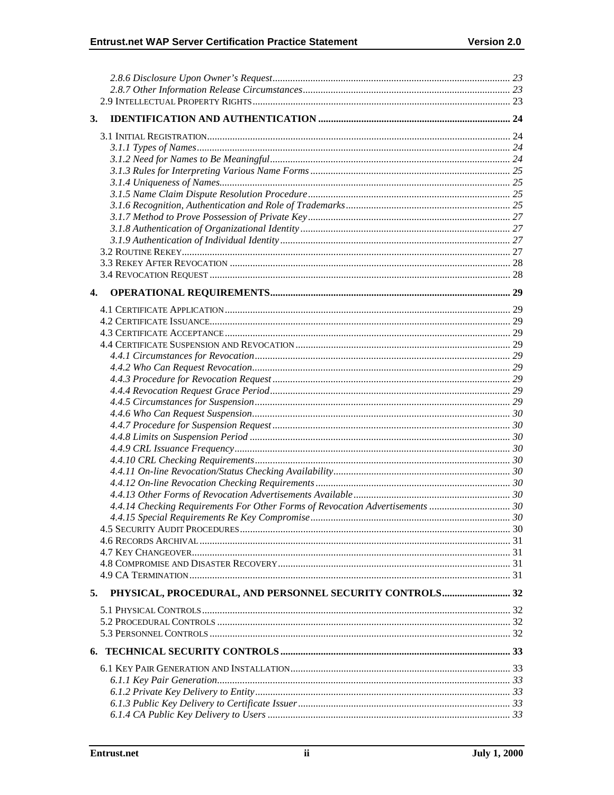| 3.                                                                            |  |
|-------------------------------------------------------------------------------|--|
|                                                                               |  |
|                                                                               |  |
|                                                                               |  |
|                                                                               |  |
|                                                                               |  |
|                                                                               |  |
|                                                                               |  |
|                                                                               |  |
|                                                                               |  |
|                                                                               |  |
|                                                                               |  |
|                                                                               |  |
|                                                                               |  |
|                                                                               |  |
|                                                                               |  |
| 4.                                                                            |  |
|                                                                               |  |
|                                                                               |  |
|                                                                               |  |
|                                                                               |  |
|                                                                               |  |
|                                                                               |  |
|                                                                               |  |
|                                                                               |  |
|                                                                               |  |
|                                                                               |  |
|                                                                               |  |
|                                                                               |  |
|                                                                               |  |
|                                                                               |  |
|                                                                               |  |
|                                                                               |  |
|                                                                               |  |
| 4.4.14 Checking Requirements For Other Forms of Revocation Advertisements  30 |  |
|                                                                               |  |
|                                                                               |  |
|                                                                               |  |
|                                                                               |  |
|                                                                               |  |
|                                                                               |  |
|                                                                               |  |
| PHYSICAL, PROCEDURAL, AND PERSONNEL SECURITY CONTROLS 32<br>5.                |  |
|                                                                               |  |
|                                                                               |  |
|                                                                               |  |
|                                                                               |  |
|                                                                               |  |
|                                                                               |  |
|                                                                               |  |
|                                                                               |  |
|                                                                               |  |
|                                                                               |  |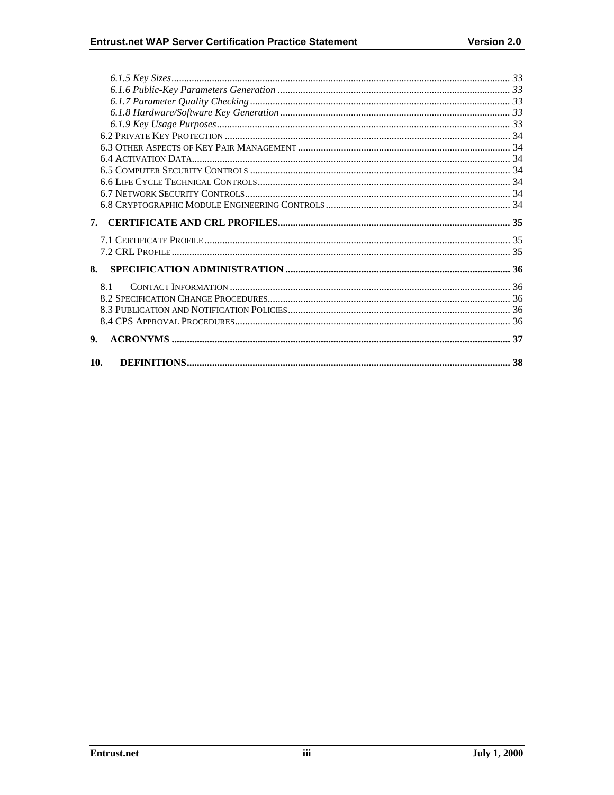| 7.  |  |
|-----|--|
|     |  |
|     |  |
|     |  |
| 8.  |  |
| 8.1 |  |
|     |  |
|     |  |
|     |  |
| 9.  |  |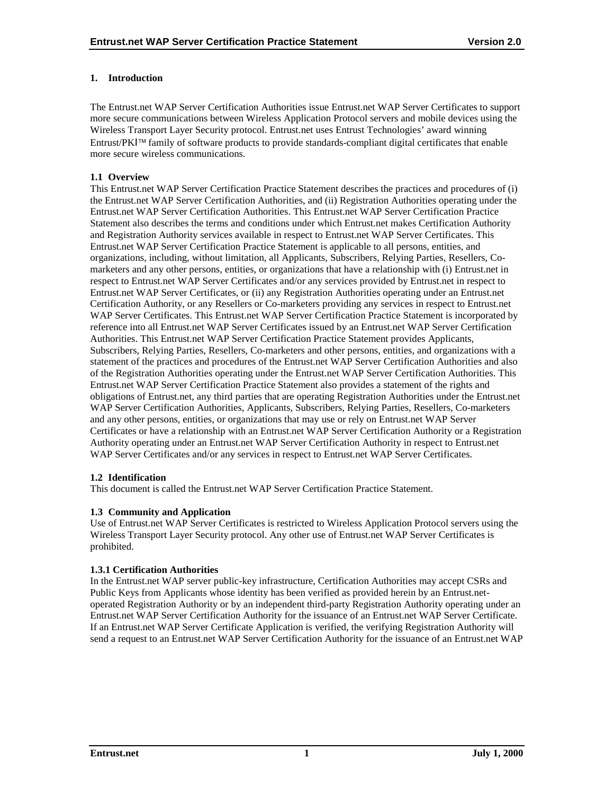## <span id="page-5-0"></span>**1. Introduction**

The Entrust.net WAP Server Certification Authorities issue Entrust.net WAP Server Certificates to support more secure communications between Wireless Application Protocol servers and mobile devices using the Wireless Transport Layer Security protocol. Entrust.net uses Entrust Technologies' award winning Entrust/PKI<sup>™</sup> family of software products to provide standards-compliant digital certificates that enable more secure wireless communications.

## **1.1 Overview**

This Entrust.net WAP Server Certification Practice Statement describes the practices and procedures of (i) the Entrust.net WAP Server Certification Authorities, and (ii) Registration Authorities operating under the Entrust.net WAP Server Certification Authorities. This Entrust.net WAP Server Certification Practice Statement also describes the terms and conditions under which Entrust.net makes Certification Authority and Registration Authority services available in respect to Entrust.net WAP Server Certificates. This Entrust.net WAP Server Certification Practice Statement is applicable to all persons, entities, and organizations, including, without limitation, all Applicants, Subscribers, Relying Parties, Resellers, Comarketers and any other persons, entities, or organizations that have a relationship with (i) Entrust.net in respect to Entrust.net WAP Server Certificates and/or any services provided by Entrust.net in respect to Entrust.net WAP Server Certificates, or (ii) any Registration Authorities operating under an Entrust.net Certification Authority, or any Resellers or Co-marketers providing any services in respect to Entrust.net WAP Server Certificates. This Entrust.net WAP Server Certification Practice Statement is incorporated by reference into all Entrust.net WAP Server Certificates issued by an Entrust.net WAP Server Certification Authorities. This Entrust.net WAP Server Certification Practice Statement provides Applicants, Subscribers, Relying Parties, Resellers, Co-marketers and other persons, entities, and organizations with a statement of the practices and procedures of the Entrust.net WAP Server Certification Authorities and also of the Registration Authorities operating under the Entrust.net WAP Server Certification Authorities. This Entrust.net WAP Server Certification Practice Statement also provides a statement of the rights and obligations of Entrust.net, any third parties that are operating Registration Authorities under the Entrust.net WAP Server Certification Authorities, Applicants, Subscribers, Relying Parties, Resellers, Co-marketers and any other persons, entities, or organizations that may use or rely on Entrust.net WAP Server Certificates or have a relationship with an Entrust.net WAP Server Certification Authority or a Registration Authority operating under an Entrust.net WAP Server Certification Authority in respect to Entrust.net WAP Server Certificates and/or any services in respect to Entrust.net WAP Server Certificates.

## **1.2 Identification**

This document is called the Entrust.net WAP Server Certification Practice Statement.

## **1.3 Community and Application**

Use of Entrust.net WAP Server Certificates is restricted to Wireless Application Protocol servers using the Wireless Transport Layer Security protocol. Any other use of Entrust.net WAP Server Certificates is prohibited.

## **1.3.1 Certification Authorities**

In the Entrust.net WAP server public-key infrastructure, Certification Authorities may accept CSRs and Public Keys from Applicants whose identity has been verified as provided herein by an Entrust.netoperated Registration Authority or by an independent third-party Registration Authority operating under an Entrust.net WAP Server Certification Authority for the issuance of an Entrust.net WAP Server Certificate. If an Entrust.net WAP Server Certificate Application is verified, the verifying Registration Authority will send a request to an Entrust.net WAP Server Certification Authority for the issuance of an Entrust.net WAP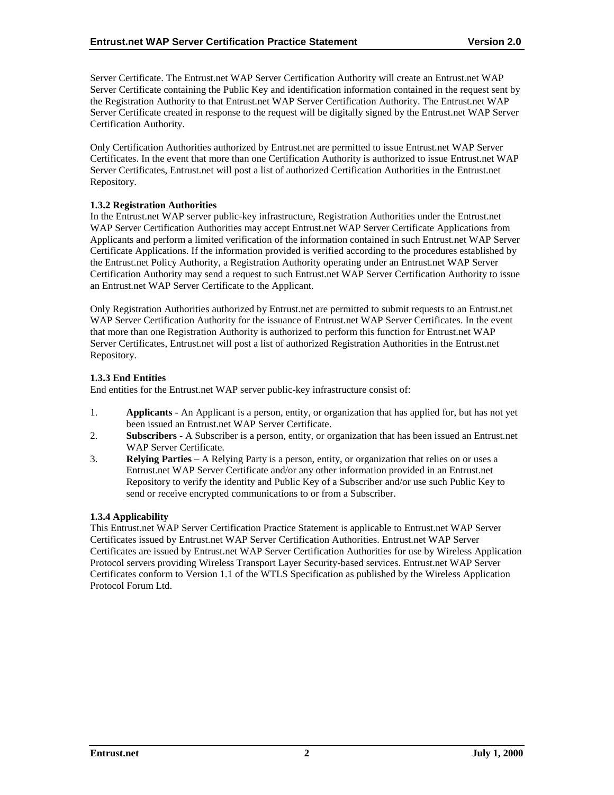<span id="page-6-0"></span>Server Certificate. The Entrust.net WAP Server Certification Authority will create an Entrust.net WAP Server Certificate containing the Public Key and identification information contained in the request sent by the Registration Authority to that Entrust.net WAP Server Certification Authority. The Entrust.net WAP Server Certificate created in response to the request will be digitally signed by the Entrust.net WAP Server Certification Authority.

Only Certification Authorities authorized by Entrust.net are permitted to issue Entrust.net WAP Server Certificates. In the event that more than one Certification Authority is authorized to issue Entrust.net WAP Server Certificates, Entrust.net will post a list of authorized Certification Authorities in the Entrust.net Repository.

#### **1.3.2 Registration Authorities**

In the Entrust.net WAP server public-key infrastructure, Registration Authorities under the Entrust.net WAP Server Certification Authorities may accept Entrust.net WAP Server Certificate Applications from Applicants and perform a limited verification of the information contained in such Entrust.net WAP Server Certificate Applications. If the information provided is verified according to the procedures established by the Entrust.net Policy Authority, a Registration Authority operating under an Entrust.net WAP Server Certification Authority may send a request to such Entrust.net WAP Server Certification Authority to issue an Entrust.net WAP Server Certificate to the Applicant.

Only Registration Authorities authorized by Entrust.net are permitted to submit requests to an Entrust.net WAP Server Certification Authority for the issuance of Entrust.net WAP Server Certificates. In the event that more than one Registration Authority is authorized to perform this function for Entrust.net WAP Server Certificates, Entrust.net will post a list of authorized Registration Authorities in the Entrust.net Repository.

## **1.3.3 End Entities**

End entities for the Entrust.net WAP server public-key infrastructure consist of:

- 1. **Applicants**  An Applicant is a person, entity, or organization that has applied for, but has not yet been issued an Entrust.net WAP Server Certificate.
- 2. **Subscribers**  A Subscriber is a person, entity, or organization that has been issued an Entrust.net WAP Server Certificate.
- 3. **Relying Parties**  A Relying Party is a person, entity, or organization that relies on or uses a Entrust.net WAP Server Certificate and/or any other information provided in an Entrust.net Repository to verify the identity and Public Key of a Subscriber and/or use such Public Key to send or receive encrypted communications to or from a Subscriber.

#### **1.3.4 Applicability**

This Entrust.net WAP Server Certification Practice Statement is applicable to Entrust.net WAP Server Certificates issued by Entrust.net WAP Server Certification Authorities. Entrust.net WAP Server Certificates are issued by Entrust.net WAP Server Certification Authorities for use by Wireless Application Protocol servers providing Wireless Transport Layer Security-based services. Entrust.net WAP Server Certificates conform to Version 1.1 of the WTLS Specification as published by the Wireless Application Protocol Forum Ltd.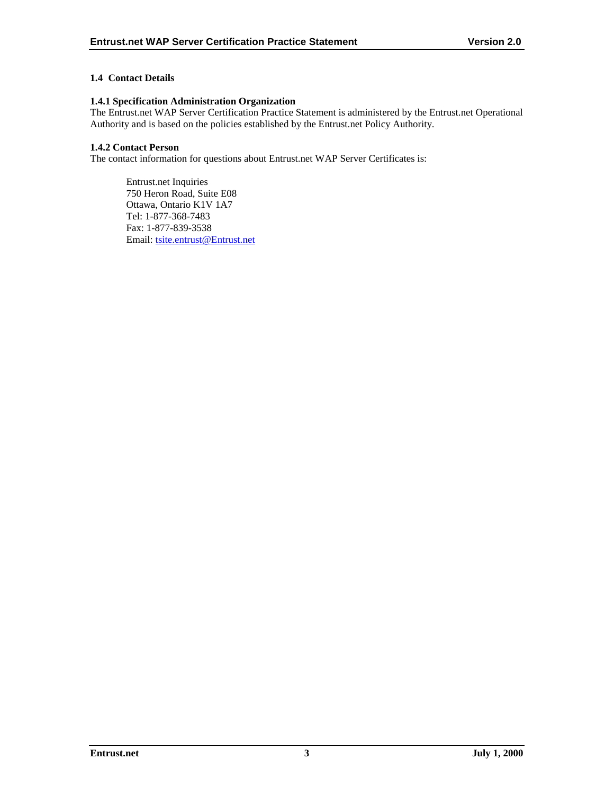## <span id="page-7-0"></span>**1.4 Contact Details**

## **1.4.1 Specification Administration Organization**

The Entrust.net WAP Server Certification Practice Statement is administered by the Entrust.net Operational Authority and is based on the policies established by the Entrust.net Policy Authority.

## **1.4.2 Contact Person**

The contact information for questions about Entrust.net WAP Server Certificates is:

Entrust.net Inquiries 750 Heron Road, Suite E08 Ottawa, Ontario K1V 1A7 Tel: 1-877-368-7483 Fax: 1-877-839-3538 Email: [tsite.entrust@Entrust.net](mailto:tsite.entrust@Entrust.net)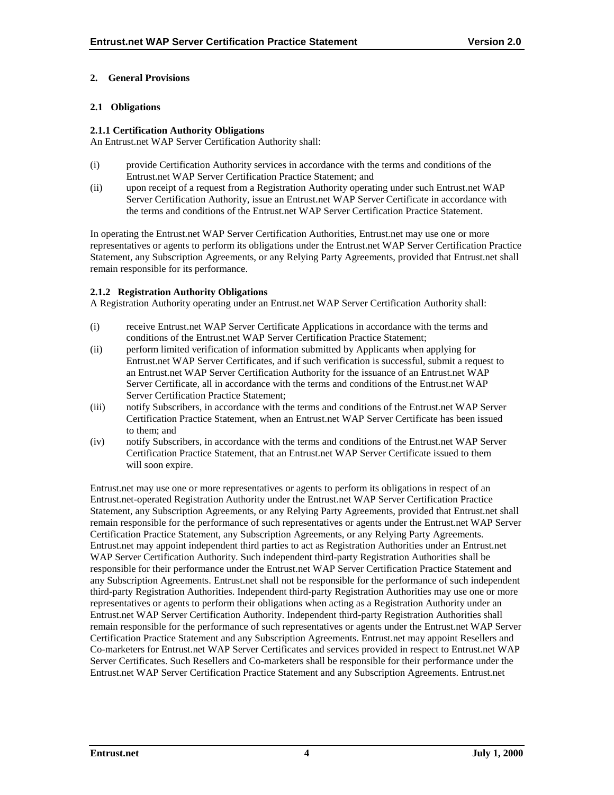## <span id="page-8-0"></span>**2. General Provisions**

## **2.1 Obligations**

#### **2.1.1 Certification Authority Obligations**

An Entrust.net WAP Server Certification Authority shall:

- (i) provide Certification Authority services in accordance with the terms and conditions of the Entrust.net WAP Server Certification Practice Statement; and
- (ii) upon receipt of a request from a Registration Authority operating under such Entrust.net WAP Server Certification Authority, issue an Entrust.net WAP Server Certificate in accordance with the terms and conditions of the Entrust.net WAP Server Certification Practice Statement.

In operating the Entrust.net WAP Server Certification Authorities, Entrust.net may use one or more representatives or agents to perform its obligations under the Entrust.net WAP Server Certification Practice Statement, any Subscription Agreements, or any Relying Party Agreements, provided that Entrust.net shall remain responsible for its performance.

#### **2.1.2 Registration Authority Obligations**

A Registration Authority operating under an Entrust.net WAP Server Certification Authority shall:

- (i) receive Entrust.net WAP Server Certificate Applications in accordance with the terms and conditions of the Entrust.net WAP Server Certification Practice Statement;
- (ii) perform limited verification of information submitted by Applicants when applying for Entrust.net WAP Server Certificates, and if such verification is successful, submit a request to an Entrust.net WAP Server Certification Authority for the issuance of an Entrust.net WAP Server Certificate, all in accordance with the terms and conditions of the Entrust.net WAP Server Certification Practice Statement;
- (iii) notify Subscribers, in accordance with the terms and conditions of the Entrust.net WAP Server Certification Practice Statement, when an Entrust.net WAP Server Certificate has been issued to them; and
- (iv) notify Subscribers, in accordance with the terms and conditions of the Entrust.net WAP Server Certification Practice Statement, that an Entrust.net WAP Server Certificate issued to them will soon expire.

Entrust.net may use one or more representatives or agents to perform its obligations in respect of an Entrust.net-operated Registration Authority under the Entrust.net WAP Server Certification Practice Statement, any Subscription Agreements, or any Relying Party Agreements, provided that Entrust.net shall remain responsible for the performance of such representatives or agents under the Entrust.net WAP Server Certification Practice Statement, any Subscription Agreements, or any Relying Party Agreements. Entrust.net may appoint independent third parties to act as Registration Authorities under an Entrust.net WAP Server Certification Authority. Such independent third-party Registration Authorities shall be responsible for their performance under the Entrust.net WAP Server Certification Practice Statement and any Subscription Agreements. Entrust.net shall not be responsible for the performance of such independent third-party Registration Authorities. Independent third-party Registration Authorities may use one or more representatives or agents to perform their obligations when acting as a Registration Authority under an Entrust.net WAP Server Certification Authority. Independent third-party Registration Authorities shall remain responsible for the performance of such representatives or agents under the Entrust.net WAP Server Certification Practice Statement and any Subscription Agreements. Entrust.net may appoint Resellers and Co-marketers for Entrust.net WAP Server Certificates and services provided in respect to Entrust.net WAP Server Certificates. Such Resellers and Co-marketers shall be responsible for their performance under the Entrust.net WAP Server Certification Practice Statement and any Subscription Agreements. Entrust.net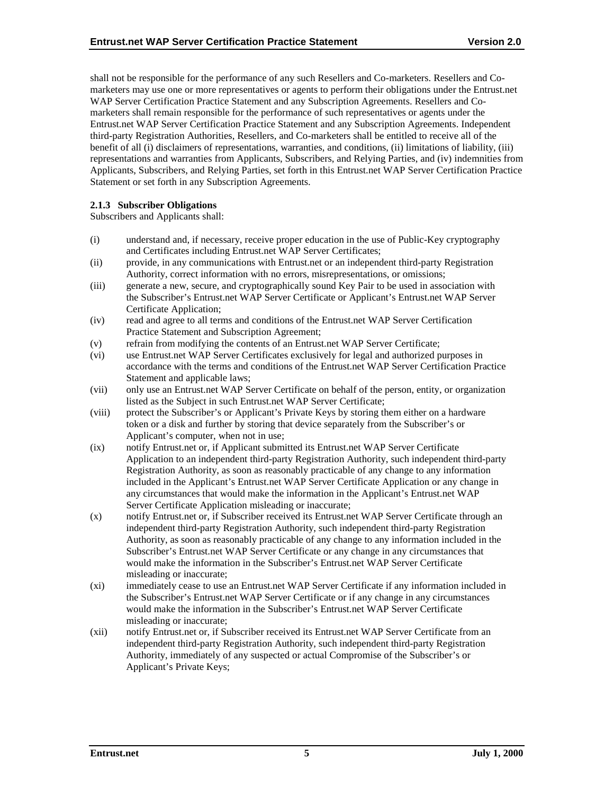<span id="page-9-0"></span>shall not be responsible for the performance of any such Resellers and Co-marketers. Resellers and Comarketers may use one or more representatives or agents to perform their obligations under the Entrust.net WAP Server Certification Practice Statement and any Subscription Agreements. Resellers and Comarketers shall remain responsible for the performance of such representatives or agents under the Entrust.net WAP Server Certification Practice Statement and any Subscription Agreements. Independent third-party Registration Authorities, Resellers, and Co-marketers shall be entitled to receive all of the benefit of all (i) disclaimers of representations, warranties, and conditions, (ii) limitations of liability, (iii) representations and warranties from Applicants, Subscribers, and Relying Parties, and (iv) indemnities from Applicants, Subscribers, and Relying Parties, set forth in this Entrust.net WAP Server Certification Practice Statement or set forth in any Subscription Agreements.

## **2.1.3 Subscriber Obligations**

Subscribers and Applicants shall:

- (i) understand and, if necessary, receive proper education in the use of Public-Key cryptography and Certificates including Entrust.net WAP Server Certificates;
- (ii) provide, in any communications with Entrust.net or an independent third-party Registration Authority, correct information with no errors, misrepresentations, or omissions;
- (iii) generate a new, secure, and cryptographically sound Key Pair to be used in association with the Subscriber's Entrust.net WAP Server Certificate or Applicant's Entrust.net WAP Server Certificate Application;
- (iv) read and agree to all terms and conditions of the Entrust.net WAP Server Certification Practice Statement and Subscription Agreement;
- (v) refrain from modifying the contents of an Entrust.net WAP Server Certificate;
- (vi) use Entrust.net WAP Server Certificates exclusively for legal and authorized purposes in accordance with the terms and conditions of the Entrust.net WAP Server Certification Practice Statement and applicable laws;
- (vii) only use an Entrust.net WAP Server Certificate on behalf of the person, entity, or organization listed as the Subject in such Entrust.net WAP Server Certificate;
- (viii) protect the Subscriber's or Applicant's Private Keys by storing them either on a hardware token or a disk and further by storing that device separately from the Subscriber's or Applicant's computer, when not in use;
- (ix) notify Entrust.net or, if Applicant submitted its Entrust.net WAP Server Certificate Application to an independent third-party Registration Authority, such independent third-party Registration Authority, as soon as reasonably practicable of any change to any information included in the Applicant's Entrust.net WAP Server Certificate Application or any change in any circumstances that would make the information in the Applicant's Entrust.net WAP Server Certificate Application misleading or inaccurate;
- (x) notify Entrust.net or, if Subscriber received its Entrust.net WAP Server Certificate through an independent third-party Registration Authority, such independent third-party Registration Authority, as soon as reasonably practicable of any change to any information included in the Subscriber's Entrust.net WAP Server Certificate or any change in any circumstances that would make the information in the Subscriber's Entrust.net WAP Server Certificate misleading or inaccurate;
- (xi) immediately cease to use an Entrust.net WAP Server Certificate if any information included in the Subscriber's Entrust.net WAP Server Certificate or if any change in any circumstances would make the information in the Subscriber's Entrust.net WAP Server Certificate misleading or inaccurate;
- (xii) notify Entrust.net or, if Subscriber received its Entrust.net WAP Server Certificate from an independent third-party Registration Authority, such independent third-party Registration Authority, immediately of any suspected or actual Compromise of the Subscriber's or Applicant's Private Keys;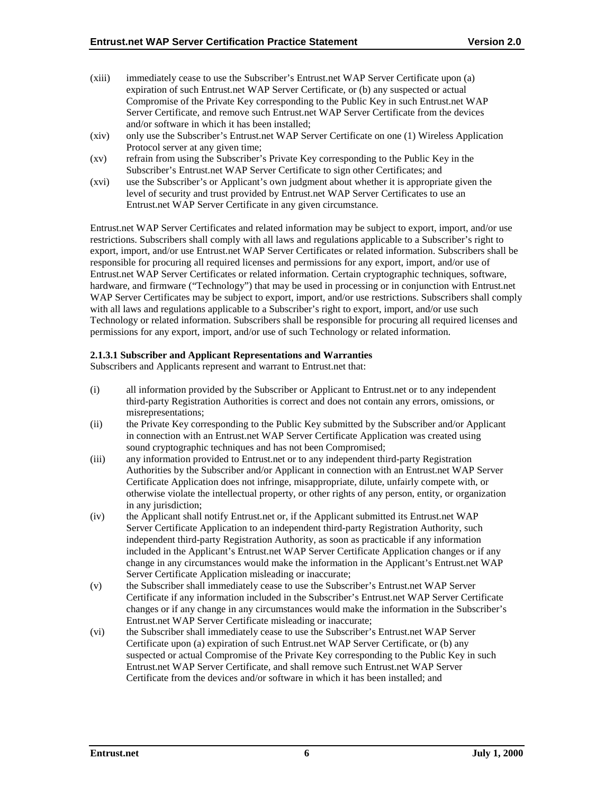- (xiii) immediately cease to use the Subscriber's Entrust.net WAP Server Certificate upon (a) expiration of such Entrust.net WAP Server Certificate, or (b) any suspected or actual Compromise of the Private Key corresponding to the Public Key in such Entrust.net WAP Server Certificate, and remove such Entrust.net WAP Server Certificate from the devices and/or software in which it has been installed;
- (xiv) only use the Subscriber's Entrust.net WAP Server Certificate on one (1) Wireless Application Protocol server at any given time;
- (xv) refrain from using the Subscriber's Private Key corresponding to the Public Key in the Subscriber's Entrust.net WAP Server Certificate to sign other Certificates; and
- (xvi) use the Subscriber's or Applicant's own judgment about whether it is appropriate given the level of security and trust provided by Entrust.net WAP Server Certificates to use an Entrust.net WAP Server Certificate in any given circumstance.

Entrust.net WAP Server Certificates and related information may be subject to export, import, and/or use restrictions. Subscribers shall comply with all laws and regulations applicable to a Subscriber's right to export, import, and/or use Entrust.net WAP Server Certificates or related information. Subscribers shall be responsible for procuring all required licenses and permissions for any export, import, and/or use of Entrust.net WAP Server Certificates or related information. Certain cryptographic techniques, software, hardware, and firmware ("Technology") that may be used in processing or in conjunction with Entrust.net WAP Server Certificates may be subject to export, import, and/or use restrictions. Subscribers shall comply with all laws and regulations applicable to a Subscriber's right to export, import, and/or use such Technology or related information. Subscribers shall be responsible for procuring all required licenses and permissions for any export, import, and/or use of such Technology or related information.

#### **2.1.3.1 Subscriber and Applicant Representations and Warranties**

Subscribers and Applicants represent and warrant to Entrust.net that:

- (i) all information provided by the Subscriber or Applicant to Entrust.net or to any independent third-party Registration Authorities is correct and does not contain any errors, omissions, or misrepresentations;
- (ii) the Private Key corresponding to the Public Key submitted by the Subscriber and/or Applicant in connection with an Entrust.net WAP Server Certificate Application was created using sound cryptographic techniques and has not been Compromised;
- (iii) any information provided to Entrust.net or to any independent third-party Registration Authorities by the Subscriber and/or Applicant in connection with an Entrust.net WAP Server Certificate Application does not infringe, misappropriate, dilute, unfairly compete with, or otherwise violate the intellectual property, or other rights of any person, entity, or organization in any jurisdiction;
- (iv) the Applicant shall notify Entrust.net or, if the Applicant submitted its Entrust.net WAP Server Certificate Application to an independent third-party Registration Authority, such independent third-party Registration Authority, as soon as practicable if any information included in the Applicant's Entrust.net WAP Server Certificate Application changes or if any change in any circumstances would make the information in the Applicant's Entrust.net WAP Server Certificate Application misleading or inaccurate;
- (v) the Subscriber shall immediately cease to use the Subscriber's Entrust.net WAP Server Certificate if any information included in the Subscriber's Entrust.net WAP Server Certificate changes or if any change in any circumstances would make the information in the Subscriber's Entrust.net WAP Server Certificate misleading or inaccurate;
- (vi) the Subscriber shall immediately cease to use the Subscriber's Entrust.net WAP Server Certificate upon (a) expiration of such Entrust.net WAP Server Certificate, or (b) any suspected or actual Compromise of the Private Key corresponding to the Public Key in such Entrust.net WAP Server Certificate, and shall remove such Entrust.net WAP Server Certificate from the devices and/or software in which it has been installed; and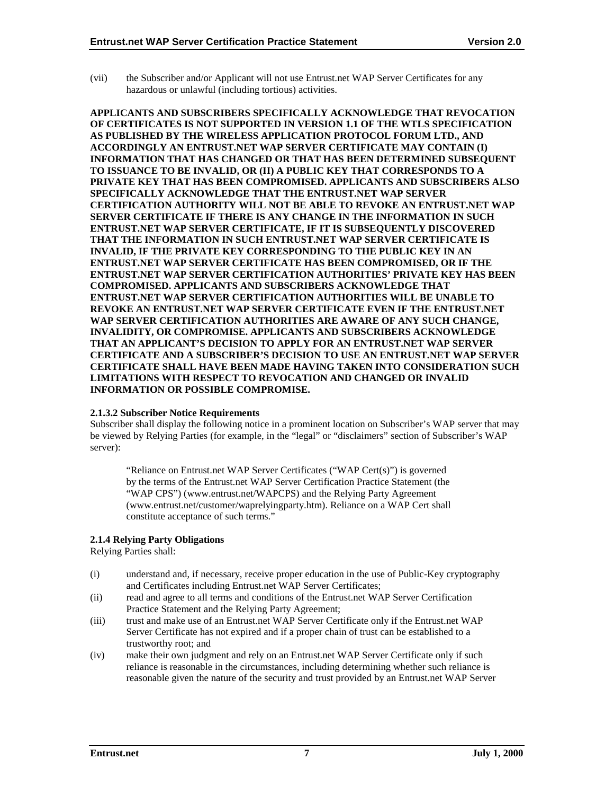<span id="page-11-0"></span>(vii) the Subscriber and/or Applicant will not use Entrust.net WAP Server Certificates for any hazardous or unlawful (including tortious) activities.

**APPLICANTS AND SUBSCRIBERS SPECIFICALLY ACKNOWLEDGE THAT REVOCATION OF CERTIFICATES IS NOT SUPPORTED IN VERSION 1.1 OF THE WTLS SPECIFICATION AS PUBLISHED BY THE WIRELESS APPLICATION PROTOCOL FORUM LTD., AND ACCORDINGLY AN ENTRUST.NET WAP SERVER CERTIFICATE MAY CONTAIN (I) INFORMATION THAT HAS CHANGED OR THAT HAS BEEN DETERMINED SUBSEQUENT TO ISSUANCE TO BE INVALID, OR (II) A PUBLIC KEY THAT CORRESPONDS TO A PRIVATE KEY THAT HAS BEEN COMPROMISED. APPLICANTS AND SUBSCRIBERS ALSO SPECIFICALLY ACKNOWLEDGE THAT THE ENTRUST.NET WAP SERVER CERTIFICATION AUTHORITY WILL NOT BE ABLE TO REVOKE AN ENTRUST.NET WAP SERVER CERTIFICATE IF THERE IS ANY CHANGE IN THE INFORMATION IN SUCH ENTRUST.NET WAP SERVER CERTIFICATE, IF IT IS SUBSEQUENTLY DISCOVERED THAT THE INFORMATION IN SUCH ENTRUST.NET WAP SERVER CERTIFICATE IS INVALID, IF THE PRIVATE KEY CORRESPONDING TO THE PUBLIC KEY IN AN ENTRUST.NET WAP SERVER CERTIFICATE HAS BEEN COMPROMISED, OR IF THE ENTRUST.NET WAP SERVER CERTIFICATION AUTHORITIES' PRIVATE KEY HAS BEEN COMPROMISED. APPLICANTS AND SUBSCRIBERS ACKNOWLEDGE THAT ENTRUST.NET WAP SERVER CERTIFICATION AUTHORITIES WILL BE UNABLE TO REVOKE AN ENTRUST.NET WAP SERVER CERTIFICATE EVEN IF THE ENTRUST.NET WAP SERVER CERTIFICATION AUTHORITIES ARE AWARE OF ANY SUCH CHANGE, INVALIDITY, OR COMPROMISE. APPLICANTS AND SUBSCRIBERS ACKNOWLEDGE THAT AN APPLICANT'S DECISION TO APPLY FOR AN ENTRUST.NET WAP SERVER CERTIFICATE AND A SUBSCRIBER'S DECISION TO USE AN ENTRUST.NET WAP SERVER CERTIFICATE SHALL HAVE BEEN MADE HAVING TAKEN INTO CONSIDERATION SUCH LIMITATIONS WITH RESPECT TO REVOCATION AND CHANGED OR INVALID INFORMATION OR POSSIBLE COMPROMISE.** 

#### **2.1.3.2 Subscriber Notice Requirements**

Subscriber shall display the following notice in a prominent location on Subscriber's WAP server that may be viewed by Relying Parties (for example, in the "legal" or "disclaimers" section of Subscriber's WAP server):

"Reliance on Entrust.net WAP Server Certificates ("WAP Cert(s)") is governed by the terms of the Entrust.net WAP Server Certification Practice Statement (the "WAP CPS") (www.entrust.net/WAPCPS) and the Relying Party Agreement (www.entrust.net/customer/waprelyingparty.htm). Reliance on a WAP Cert shall constitute acceptance of such terms."

## **2.1.4 Relying Party Obligations**

Relying Parties shall:

- (i) understand and, if necessary, receive proper education in the use of Public-Key cryptography and Certificates including Entrust.net WAP Server Certificates;
- (ii) read and agree to all terms and conditions of the Entrust.net WAP Server Certification Practice Statement and the Relying Party Agreement;
- (iii) trust and make use of an Entrust.net WAP Server Certificate only if the Entrust.net WAP Server Certificate has not expired and if a proper chain of trust can be established to a trustworthy root; and
- (iv) make their own judgment and rely on an Entrust.net WAP Server Certificate only if such reliance is reasonable in the circumstances, including determining whether such reliance is reasonable given the nature of the security and trust provided by an Entrust.net WAP Server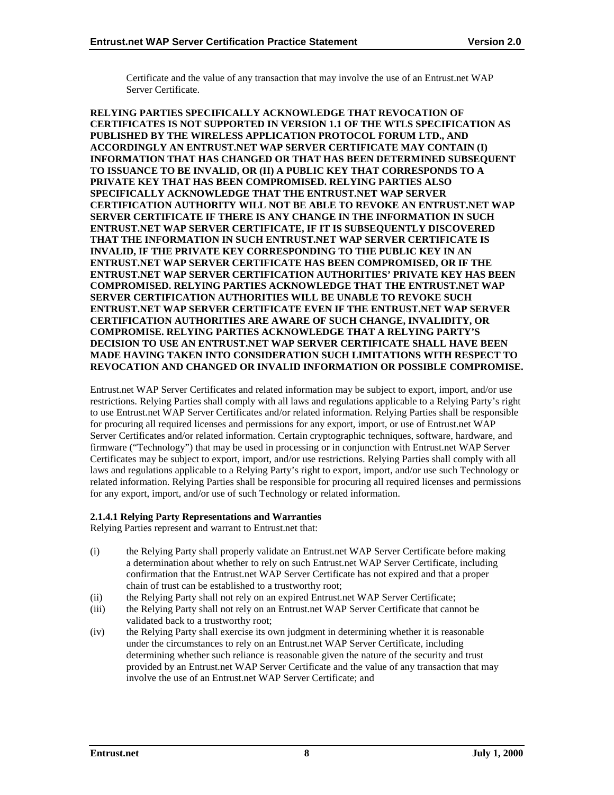Certificate and the value of any transaction that may involve the use of an Entrust.net WAP Server Certificate.

**RELYING PARTIES SPECIFICALLY ACKNOWLEDGE THAT REVOCATION OF CERTIFICATES IS NOT SUPPORTED IN VERSION 1.1 OF THE WTLS SPECIFICATION AS PUBLISHED BY THE WIRELESS APPLICATION PROTOCOL FORUM LTD., AND ACCORDINGLY AN ENTRUST.NET WAP SERVER CERTIFICATE MAY CONTAIN (I) INFORMATION THAT HAS CHANGED OR THAT HAS BEEN DETERMINED SUBSEQUENT TO ISSUANCE TO BE INVALID, OR (II) A PUBLIC KEY THAT CORRESPONDS TO A PRIVATE KEY THAT HAS BEEN COMPROMISED. RELYING PARTIES ALSO SPECIFICALLY ACKNOWLEDGE THAT THE ENTRUST.NET WAP SERVER CERTIFICATION AUTHORITY WILL NOT BE ABLE TO REVOKE AN ENTRUST.NET WAP SERVER CERTIFICATE IF THERE IS ANY CHANGE IN THE INFORMATION IN SUCH ENTRUST.NET WAP SERVER CERTIFICATE, IF IT IS SUBSEQUENTLY DISCOVERED THAT THE INFORMATION IN SUCH ENTRUST.NET WAP SERVER CERTIFICATE IS INVALID, IF THE PRIVATE KEY CORRESPONDING TO THE PUBLIC KEY IN AN ENTRUST.NET WAP SERVER CERTIFICATE HAS BEEN COMPROMISED, OR IF THE ENTRUST.NET WAP SERVER CERTIFICATION AUTHORITIES' PRIVATE KEY HAS BEEN COMPROMISED. RELYING PARTIES ACKNOWLEDGE THAT THE ENTRUST.NET WAP SERVER CERTIFICATION AUTHORITIES WILL BE UNABLE TO REVOKE SUCH ENTRUST.NET WAP SERVER CERTIFICATE EVEN IF THE ENTRUST.NET WAP SERVER CERTIFICATION AUTHORITIES ARE AWARE OF SUCH CHANGE, INVALIDITY, OR COMPROMISE. RELYING PARTIES ACKNOWLEDGE THAT A RELYING PARTY'S DECISION TO USE AN ENTRUST.NET WAP SERVER CERTIFICATE SHALL HAVE BEEN MADE HAVING TAKEN INTO CONSIDERATION SUCH LIMITATIONS WITH RESPECT TO REVOCATION AND CHANGED OR INVALID INFORMATION OR POSSIBLE COMPROMISE.** 

Entrust.net WAP Server Certificates and related information may be subject to export, import, and/or use restrictions. Relying Parties shall comply with all laws and regulations applicable to a Relying Party's right to use Entrust.net WAP Server Certificates and/or related information. Relying Parties shall be responsible for procuring all required licenses and permissions for any export, import, or use of Entrust.net WAP Server Certificates and/or related information. Certain cryptographic techniques, software, hardware, and firmware ("Technology") that may be used in processing or in conjunction with Entrust.net WAP Server Certificates may be subject to export, import, and/or use restrictions. Relying Parties shall comply with all laws and regulations applicable to a Relying Party's right to export, import, and/or use such Technology or related information. Relying Parties shall be responsible for procuring all required licenses and permissions for any export, import, and/or use of such Technology or related information.

## **2.1.4.1 Relying Party Representations and Warranties**

Relying Parties represent and warrant to Entrust.net that:

- (i) the Relying Party shall properly validate an Entrust.net WAP Server Certificate before making a determination about whether to rely on such Entrust.net WAP Server Certificate, including confirmation that the Entrust.net WAP Server Certificate has not expired and that a proper chain of trust can be established to a trustworthy root;
- (ii) the Relying Party shall not rely on an expired Entrust.net WAP Server Certificate;
- (iii) the Relying Party shall not rely on an Entrust.net WAP Server Certificate that cannot be validated back to a trustworthy root;
- (iv) the Relying Party shall exercise its own judgment in determining whether it is reasonable under the circumstances to rely on an Entrust.net WAP Server Certificate, including determining whether such reliance is reasonable given the nature of the security and trust provided by an Entrust.net WAP Server Certificate and the value of any transaction that may involve the use of an Entrust.net WAP Server Certificate; and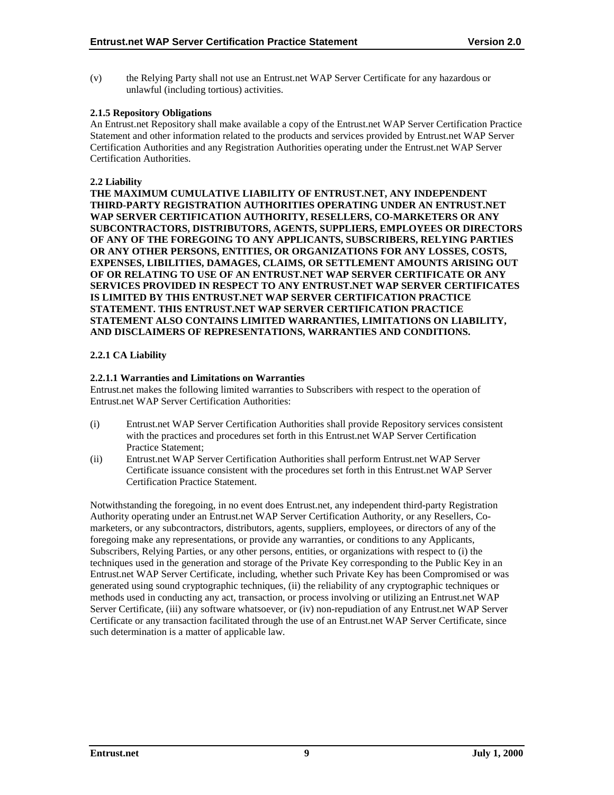<span id="page-13-0"></span>(v) the Relying Party shall not use an Entrust.net WAP Server Certificate for any hazardous or unlawful (including tortious) activities.

## **2.1.5 Repository Obligations**

An Entrust.net Repository shall make available a copy of the Entrust.net WAP Server Certification Practice Statement and other information related to the products and services provided by Entrust.net WAP Server Certification Authorities and any Registration Authorities operating under the Entrust.net WAP Server Certification Authorities.

## **2.2 Liability**

**THE MAXIMUM CUMULATIVE LIABILITY OF ENTRUST.NET, ANY INDEPENDENT THIRD-PARTY REGISTRATION AUTHORITIES OPERATING UNDER AN ENTRUST.NET WAP SERVER CERTIFICATION AUTHORITY, RESELLERS, CO-MARKETERS OR ANY SUBCONTRACTORS, DISTRIBUTORS, AGENTS, SUPPLIERS, EMPLOYEES OR DIRECTORS OF ANY OF THE FOREGOING TO ANY APPLICANTS, SUBSCRIBERS, RELYING PARTIES OR ANY OTHER PERSONS, ENTITIES, OR ORGANIZATIONS FOR ANY LOSSES, COSTS, EXPENSES, LIBILITIES, DAMAGES, CLAIMS, OR SETTLEMENT AMOUNTS ARISING OUT OF OR RELATING TO USE OF AN ENTRUST.NET WAP SERVER CERTIFICATE OR ANY SERVICES PROVIDED IN RESPECT TO ANY ENTRUST.NET WAP SERVER CERTIFICATES IS LIMITED BY THIS ENTRUST.NET WAP SERVER CERTIFICATION PRACTICE STATEMENT. THIS ENTRUST.NET WAP SERVER CERTIFICATION PRACTICE STATEMENT ALSO CONTAINS LIMITED WARRANTIES, LIMITATIONS ON LIABILITY, AND DISCLAIMERS OF REPRESENTATIONS, WARRANTIES AND CONDITIONS.** 

## **2.2.1 CA Liability**

## **2.2.1.1 Warranties and Limitations on Warranties**

Entrust.net makes the following limited warranties to Subscribers with respect to the operation of Entrust net WAP Server Certification Authorities:

- (i) Entrust.net WAP Server Certification Authorities shall provide Repository services consistent with the practices and procedures set forth in this Entrust.net WAP Server Certification Practice Statement;
- (ii) Entrust.net WAP Server Certification Authorities shall perform Entrust.net WAP Server Certificate issuance consistent with the procedures set forth in this Entrust.net WAP Server Certification Practice Statement.

Notwithstanding the foregoing, in no event does Entrust.net, any independent third-party Registration Authority operating under an Entrust.net WAP Server Certification Authority, or any Resellers, Comarketers, or any subcontractors, distributors, agents, suppliers, employees, or directors of any of the foregoing make any representations, or provide any warranties, or conditions to any Applicants, Subscribers, Relying Parties, or any other persons, entities, or organizations with respect to (i) the techniques used in the generation and storage of the Private Key corresponding to the Public Key in an Entrust.net WAP Server Certificate, including, whether such Private Key has been Compromised or was generated using sound cryptographic techniques, (ii) the reliability of any cryptographic techniques or methods used in conducting any act, transaction, or process involving or utilizing an Entrust.net WAP Server Certificate, (iii) any software whatsoever, or (iv) non-repudiation of any Entrust.net WAP Server Certificate or any transaction facilitated through the use of an Entrust.net WAP Server Certificate, since such determination is a matter of applicable law.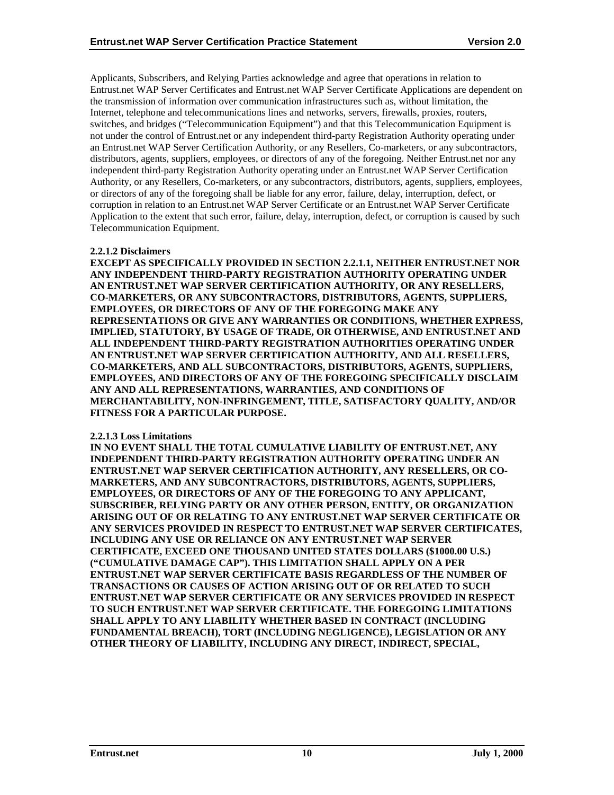Applicants, Subscribers, and Relying Parties acknowledge and agree that operations in relation to Entrust.net WAP Server Certificates and Entrust.net WAP Server Certificate Applications are dependent on the transmission of information over communication infrastructures such as, without limitation, the Internet, telephone and telecommunications lines and networks, servers, firewalls, proxies, routers, switches, and bridges ("Telecommunication Equipment") and that this Telecommunication Equipment is not under the control of Entrust.net or any independent third-party Registration Authority operating under an Entrust.net WAP Server Certification Authority, or any Resellers, Co-marketers, or any subcontractors, distributors, agents, suppliers, employees, or directors of any of the foregoing. Neither Entrust.net nor any independent third-party Registration Authority operating under an Entrust.net WAP Server Certification Authority, or any Resellers, Co-marketers, or any subcontractors, distributors, agents, suppliers, employees, or directors of any of the foregoing shall be liable for any error, failure, delay, interruption, defect, or corruption in relation to an Entrust.net WAP Server Certificate or an Entrust.net WAP Server Certificate Application to the extent that such error, failure, delay, interruption, defect, or corruption is caused by such Telecommunication Equipment.

#### **2.2.1.2 Disclaimers**

**EXCEPT AS SPECIFICALLY PROVIDED IN SECTION 2.2.1.1, NEITHER ENTRUST.NET NOR ANY INDEPENDENT THIRD-PARTY REGISTRATION AUTHORITY OPERATING UNDER AN ENTRUST.NET WAP SERVER CERTIFICATION AUTHORITY, OR ANY RESELLERS, CO-MARKETERS, OR ANY SUBCONTRACTORS, DISTRIBUTORS, AGENTS, SUPPLIERS, EMPLOYEES, OR DIRECTORS OF ANY OF THE FOREGOING MAKE ANY REPRESENTATIONS OR GIVE ANY WARRANTIES OR CONDITIONS, WHETHER EXPRESS, IMPLIED, STATUTORY, BY USAGE OF TRADE, OR OTHERWISE, AND ENTRUST.NET AND ALL INDEPENDENT THIRD-PARTY REGISTRATION AUTHORITIES OPERATING UNDER AN ENTRUST.NET WAP SERVER CERTIFICATION AUTHORITY, AND ALL RESELLERS, CO-MARKETERS, AND ALL SUBCONTRACTORS, DISTRIBUTORS, AGENTS, SUPPLIERS, EMPLOYEES, AND DIRECTORS OF ANY OF THE FOREGOING SPECIFICALLY DISCLAIM ANY AND ALL REPRESENTATIONS, WARRANTIES, AND CONDITIONS OF MERCHANTABILITY, NON-INFRINGEMENT, TITLE, SATISFACTORY QUALITY, AND/OR FITNESS FOR A PARTICULAR PURPOSE.** 

#### **2.2.1.3 Loss Limitations**

**IN NO EVENT SHALL THE TOTAL CUMULATIVE LIABILITY OF ENTRUST.NET, ANY INDEPENDENT THIRD-PARTY REGISTRATION AUTHORITY OPERATING UNDER AN ENTRUST.NET WAP SERVER CERTIFICATION AUTHORITY, ANY RESELLERS, OR CO-MARKETERS, AND ANY SUBCONTRACTORS, DISTRIBUTORS, AGENTS, SUPPLIERS, EMPLOYEES, OR DIRECTORS OF ANY OF THE FOREGOING TO ANY APPLICANT, SUBSCRIBER, RELYING PARTY OR ANY OTHER PERSON, ENTITY, OR ORGANIZATION ARISING OUT OF OR RELATING TO ANY ENTRUST.NET WAP SERVER CERTIFICATE OR ANY SERVICES PROVIDED IN RESPECT TO ENTRUST.NET WAP SERVER CERTIFICATES, INCLUDING ANY USE OR RELIANCE ON ANY ENTRUST.NET WAP SERVER CERTIFICATE, EXCEED ONE THOUSAND UNITED STATES DOLLARS (\$1000.00 U.S.) ("CUMULATIVE DAMAGE CAP"). THIS LIMITATION SHALL APPLY ON A PER ENTRUST.NET WAP SERVER CERTIFICATE BASIS REGARDLESS OF THE NUMBER OF TRANSACTIONS OR CAUSES OF ACTION ARISING OUT OF OR RELATED TO SUCH ENTRUST.NET WAP SERVER CERTIFICATE OR ANY SERVICES PROVIDED IN RESPECT TO SUCH ENTRUST.NET WAP SERVER CERTIFICATE. THE FOREGOING LIMITATIONS SHALL APPLY TO ANY LIABILITY WHETHER BASED IN CONTRACT (INCLUDING FUNDAMENTAL BREACH), TORT (INCLUDING NEGLIGENCE), LEGISLATION OR ANY OTHER THEORY OF LIABILITY, INCLUDING ANY DIRECT, INDIRECT, SPECIAL,**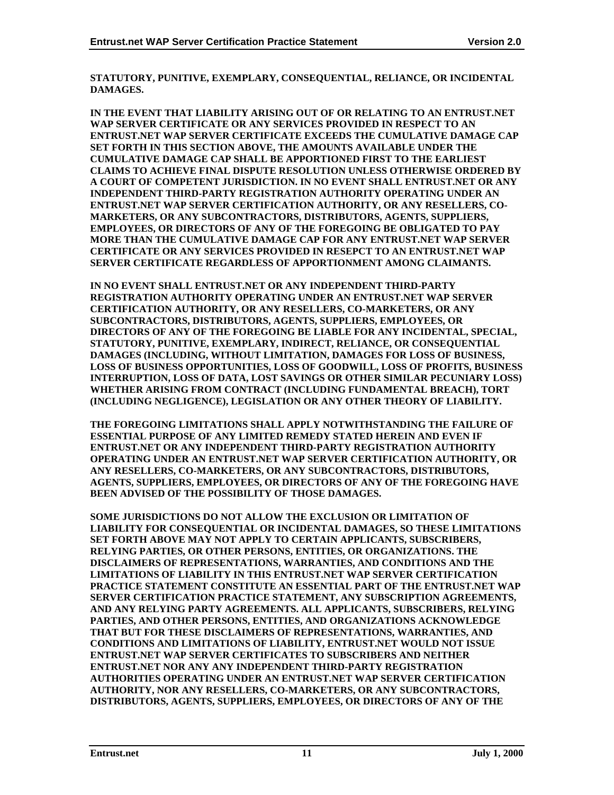**STATUTORY, PUNITIVE, EXEMPLARY, CONSEQUENTIAL, RELIANCE, OR INCIDENTAL DAMAGES.** 

**IN THE EVENT THAT LIABILITY ARISING OUT OF OR RELATING TO AN ENTRUST.NET WAP SERVER CERTIFICATE OR ANY SERVICES PROVIDED IN RESPECT TO AN ENTRUST.NET WAP SERVER CERTIFICATE EXCEEDS THE CUMULATIVE DAMAGE CAP SET FORTH IN THIS SECTION ABOVE, THE AMOUNTS AVAILABLE UNDER THE CUMULATIVE DAMAGE CAP SHALL BE APPORTIONED FIRST TO THE EARLIEST CLAIMS TO ACHIEVE FINAL DISPUTE RESOLUTION UNLESS OTHERWISE ORDERED BY A COURT OF COMPETENT JURISDICTION. IN NO EVENT SHALL ENTRUST.NET OR ANY INDEPENDENT THIRD-PARTY REGISTRATION AUTHORITY OPERATING UNDER AN ENTRUST.NET WAP SERVER CERTIFICATION AUTHORITY, OR ANY RESELLERS, CO-MARKETERS, OR ANY SUBCONTRACTORS, DISTRIBUTORS, AGENTS, SUPPLIERS, EMPLOYEES, OR DIRECTORS OF ANY OF THE FOREGOING BE OBLIGATED TO PAY MORE THAN THE CUMULATIVE DAMAGE CAP FOR ANY ENTRUST.NET WAP SERVER CERTIFICATE OR ANY SERVICES PROVIDED IN RESEPCT TO AN ENTRUST.NET WAP SERVER CERTIFICATE REGARDLESS OF APPORTIONMENT AMONG CLAIMANTS.** 

**IN NO EVENT SHALL ENTRUST.NET OR ANY INDEPENDENT THIRD-PARTY REGISTRATION AUTHORITY OPERATING UNDER AN ENTRUST.NET WAP SERVER CERTIFICATION AUTHORITY, OR ANY RESELLERS, CO-MARKETERS, OR ANY SUBCONTRACTORS, DISTRIBUTORS, AGENTS, SUPPLIERS, EMPLOYEES, OR DIRECTORS OF ANY OF THE FOREGOING BE LIABLE FOR ANY INCIDENTAL, SPECIAL, STATUTORY, PUNITIVE, EXEMPLARY, INDIRECT, RELIANCE, OR CONSEQUENTIAL DAMAGES (INCLUDING, WITHOUT LIMITATION, DAMAGES FOR LOSS OF BUSINESS, LOSS OF BUSINESS OPPORTUNITIES, LOSS OF GOODWILL, LOSS OF PROFITS, BUSINESS INTERRUPTION, LOSS OF DATA, LOST SAVINGS OR OTHER SIMILAR PECUNIARY LOSS) WHETHER ARISING FROM CONTRACT (INCLUDING FUNDAMENTAL BREACH), TORT (INCLUDING NEGLIGENCE), LEGISLATION OR ANY OTHER THEORY OF LIABILITY.** 

**THE FOREGOING LIMITATIONS SHALL APPLY NOTWITHSTANDING THE FAILURE OF ESSENTIAL PURPOSE OF ANY LIMITED REMEDY STATED HEREIN AND EVEN IF ENTRUST.NET OR ANY INDEPENDENT THIRD-PARTY REGISTRATION AUTHORITY OPERATING UNDER AN ENTRUST.NET WAP SERVER CERTIFICATION AUTHORITY, OR ANY RESELLERS, CO-MARKETERS, OR ANY SUBCONTRACTORS, DISTRIBUTORS, AGENTS, SUPPLIERS, EMPLOYEES, OR DIRECTORS OF ANY OF THE FOREGOING HAVE BEEN ADVISED OF THE POSSIBILITY OF THOSE DAMAGES.** 

**SOME JURISDICTIONS DO NOT ALLOW THE EXCLUSION OR LIMITATION OF LIABILITY FOR CONSEQUENTIAL OR INCIDENTAL DAMAGES, SO THESE LIMITATIONS SET FORTH ABOVE MAY NOT APPLY TO CERTAIN APPLICANTS, SUBSCRIBERS, RELYING PARTIES, OR OTHER PERSONS, ENTITIES, OR ORGANIZATIONS. THE DISCLAIMERS OF REPRESENTATIONS, WARRANTIES, AND CONDITIONS AND THE LIMITATIONS OF LIABILITY IN THIS ENTRUST.NET WAP SERVER CERTIFICATION PRACTICE STATEMENT CONSTITUTE AN ESSENTIAL PART OF THE ENTRUST.NET WAP SERVER CERTIFICATION PRACTICE STATEMENT, ANY SUBSCRIPTION AGREEMENTS, AND ANY RELYING PARTY AGREEMENTS. ALL APPLICANTS, SUBSCRIBERS, RELYING PARTIES, AND OTHER PERSONS, ENTITIES, AND ORGANIZATIONS ACKNOWLEDGE THAT BUT FOR THESE DISCLAIMERS OF REPRESENTATIONS, WARRANTIES, AND CONDITIONS AND LIMITATIONS OF LIABILITY, ENTRUST.NET WOULD NOT ISSUE ENTRUST.NET WAP SERVER CERTIFICATES TO SUBSCRIBERS AND NEITHER ENTRUST.NET NOR ANY ANY INDEPENDENT THIRD-PARTY REGISTRATION AUTHORITIES OPERATING UNDER AN ENTRUST.NET WAP SERVER CERTIFICATION AUTHORITY, NOR ANY RESELLERS, CO-MARKETERS, OR ANY SUBCONTRACTORS, DISTRIBUTORS, AGENTS, SUPPLIERS, EMPLOYEES, OR DIRECTORS OF ANY OF THE**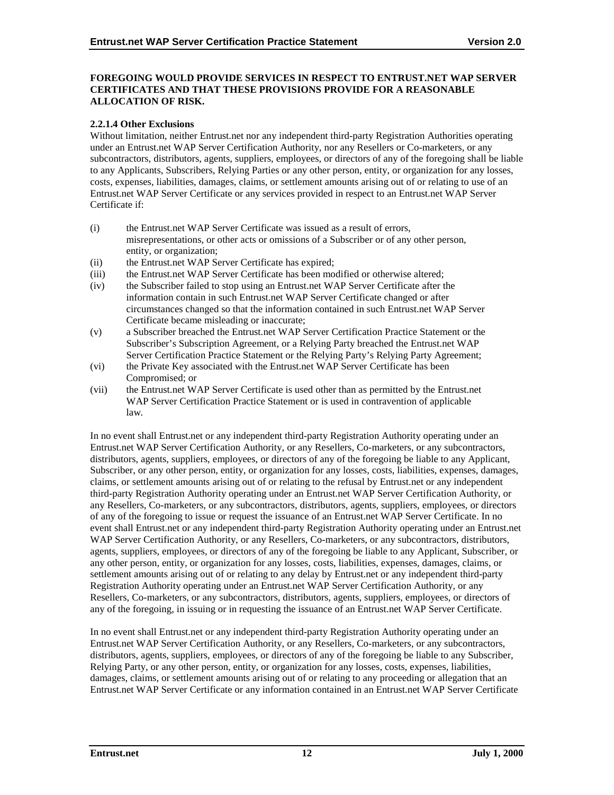#### **FOREGOING WOULD PROVIDE SERVICES IN RESPECT TO ENTRUST.NET WAP SERVER CERTIFICATES AND THAT THESE PROVISIONS PROVIDE FOR A REASONABLE ALLOCATION OF RISK.**

#### **2.2.1.4 Other Exclusions**

Without limitation, neither Entrust.net nor any independent third-party Registration Authorities operating under an Entrust.net WAP Server Certification Authority, nor any Resellers or Co-marketers, or any subcontractors, distributors, agents, suppliers, employees, or directors of any of the foregoing shall be liable to any Applicants, Subscribers, Relying Parties or any other person, entity, or organization for any losses, costs, expenses, liabilities, damages, claims, or settlement amounts arising out of or relating to use of an Entrust.net WAP Server Certificate or any services provided in respect to an Entrust.net WAP Server Certificate if:

- (i) the Entrust.net WAP Server Certificate was issued as a result of errors, misrepresentations, or other acts or omissions of a Subscriber or of any other person, entity, or organization;
- (ii) the Entrust.net WAP Server Certificate has expired;
- (iii) the Entrust.net WAP Server Certificate has been modified or otherwise altered;
- (iv) the Subscriber failed to stop using an Entrust.net WAP Server Certificate after the information contain in such Entrust.net WAP Server Certificate changed or after circumstances changed so that the information contained in such Entrust.net WAP Server Certificate became misleading or inaccurate;
- (v) a Subscriber breached the Entrust.net WAP Server Certification Practice Statement or the Subscriber's Subscription Agreement, or a Relying Party breached the Entrust.net WAP Server Certification Practice Statement or the Relying Party's Relying Party Agreement;
- (vi) the Private Key associated with the Entrust.net WAP Server Certificate has been Compromised; or
- (vii) the Entrust.net WAP Server Certificate is used other than as permitted by the Entrust.net WAP Server Certification Practice Statement or is used in contravention of applicable law.

In no event shall Entrust.net or any independent third-party Registration Authority operating under an Entrust.net WAP Server Certification Authority, or any Resellers, Co-marketers, or any subcontractors, distributors, agents, suppliers, employees, or directors of any of the foregoing be liable to any Applicant, Subscriber, or any other person, entity, or organization for any losses, costs, liabilities, expenses, damages, claims, or settlement amounts arising out of or relating to the refusal by Entrust.net or any independent third-party Registration Authority operating under an Entrust.net WAP Server Certification Authority, or any Resellers, Co-marketers, or any subcontractors, distributors, agents, suppliers, employees, or directors of any of the foregoing to issue or request the issuance of an Entrust.net WAP Server Certificate. In no event shall Entrust.net or any independent third-party Registration Authority operating under an Entrust.net WAP Server Certification Authority, or any Resellers, Co-marketers, or any subcontractors, distributors, agents, suppliers, employees, or directors of any of the foregoing be liable to any Applicant, Subscriber, or any other person, entity, or organization for any losses, costs, liabilities, expenses, damages, claims, or settlement amounts arising out of or relating to any delay by Entrust.net or any independent third-party Registration Authority operating under an Entrust.net WAP Server Certification Authority, or any Resellers, Co-marketers, or any subcontractors, distributors, agents, suppliers, employees, or directors of any of the foregoing, in issuing or in requesting the issuance of an Entrust.net WAP Server Certificate.

In no event shall Entrust.net or any independent third-party Registration Authority operating under an Entrust.net WAP Server Certification Authority, or any Resellers, Co-marketers, or any subcontractors, distributors, agents, suppliers, employees, or directors of any of the foregoing be liable to any Subscriber, Relying Party, or any other person, entity, or organization for any losses, costs, expenses, liabilities, damages, claims, or settlement amounts arising out of or relating to any proceeding or allegation that an Entrust.net WAP Server Certificate or any information contained in an Entrust.net WAP Server Certificate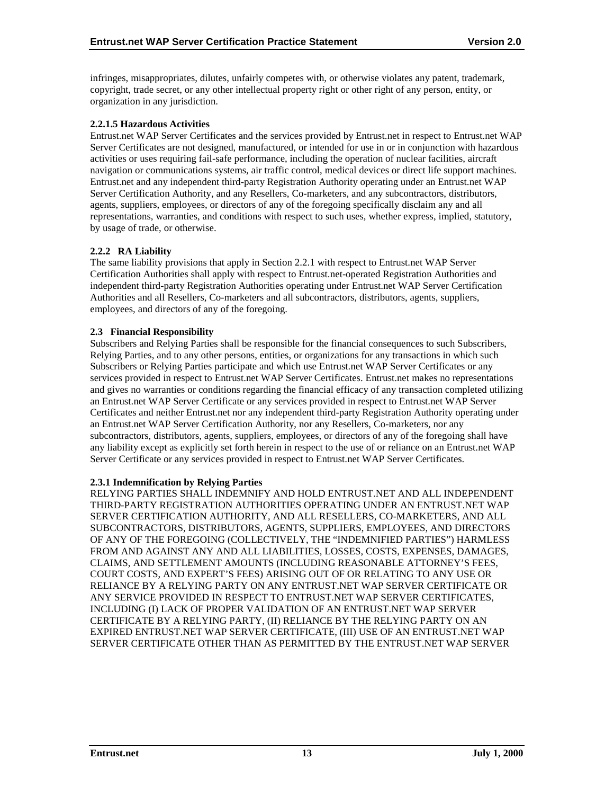<span id="page-17-0"></span>infringes, misappropriates, dilutes, unfairly competes with, or otherwise violates any patent, trademark, copyright, trade secret, or any other intellectual property right or other right of any person, entity, or organization in any jurisdiction.

#### **2.2.1.5 Hazardous Activities**

Entrust.net WAP Server Certificates and the services provided by Entrust.net in respect to Entrust.net WAP Server Certificates are not designed, manufactured, or intended for use in or in conjunction with hazardous activities or uses requiring fail-safe performance, including the operation of nuclear facilities, aircraft navigation or communications systems, air traffic control, medical devices or direct life support machines. Entrust.net and any independent third-party Registration Authority operating under an Entrust.net WAP Server Certification Authority, and any Resellers, Co-marketers, and any subcontractors, distributors, agents, suppliers, employees, or directors of any of the foregoing specifically disclaim any and all representations, warranties, and conditions with respect to such uses, whether express, implied, statutory, by usage of trade, or otherwise.

#### **2.2.2 RA Liability**

The same liability provisions that apply in Section 2.2.1 with respect to Entrust.net WAP Server Certification Authorities shall apply with respect to Entrust.net-operated Registration Authorities and independent third-party Registration Authorities operating under Entrust.net WAP Server Certification Authorities and all Resellers, Co-marketers and all subcontractors, distributors, agents, suppliers, employees, and directors of any of the foregoing.

#### **2.3 Financial Responsibility**

Subscribers and Relying Parties shall be responsible for the financial consequences to such Subscribers, Relying Parties, and to any other persons, entities, or organizations for any transactions in which such Subscribers or Relying Parties participate and which use Entrust.net WAP Server Certificates or any services provided in respect to Entrust.net WAP Server Certificates. Entrust.net makes no representations and gives no warranties or conditions regarding the financial efficacy of any transaction completed utilizing an Entrust.net WAP Server Certificate or any services provided in respect to Entrust.net WAP Server Certificates and neither Entrust.net nor any independent third-party Registration Authority operating under an Entrust.net WAP Server Certification Authority, nor any Resellers, Co-marketers, nor any subcontractors, distributors, agents, suppliers, employees, or directors of any of the foregoing shall have any liability except as explicitly set forth herein in respect to the use of or reliance on an Entrust.net WAP Server Certificate or any services provided in respect to Entrust.net WAP Server Certificates.

#### **2.3.1 Indemnification by Relying Parties**

RELYING PARTIES SHALL INDEMNIFY AND HOLD ENTRUST.NET AND ALL INDEPENDENT THIRD-PARTY REGISTRATION AUTHORITIES OPERATING UNDER AN ENTRUST.NET WAP SERVER CERTIFICATION AUTHORITY, AND ALL RESELLERS, CO-MARKETERS, AND ALL SUBCONTRACTORS, DISTRIBUTORS, AGENTS, SUPPLIERS, EMPLOYEES, AND DIRECTORS OF ANY OF THE FOREGOING (COLLECTIVELY, THE "INDEMNIFIED PARTIES") HARMLESS FROM AND AGAINST ANY AND ALL LIABILITIES, LOSSES, COSTS, EXPENSES, DAMAGES, CLAIMS, AND SETTLEMENT AMOUNTS (INCLUDING REASONABLE ATTORNEY'S FEES, COURT COSTS, AND EXPERT'S FEES) ARISING OUT OF OR RELATING TO ANY USE OR RELIANCE BY A RELYING PARTY ON ANY ENTRUST.NET WAP SERVER CERTIFICATE OR ANY SERVICE PROVIDED IN RESPECT TO ENTRUST.NET WAP SERVER CERTIFICATES, INCLUDING (I) LACK OF PROPER VALIDATION OF AN ENTRUST.NET WAP SERVER CERTIFICATE BY A RELYING PARTY, (II) RELIANCE BY THE RELYING PARTY ON AN EXPIRED ENTRUST.NET WAP SERVER CERTIFICATE, (III) USE OF AN ENTRUST.NET WAP SERVER CERTIFICATE OTHER THAN AS PERMITTED BY THE ENTRUST.NET WAP SERVER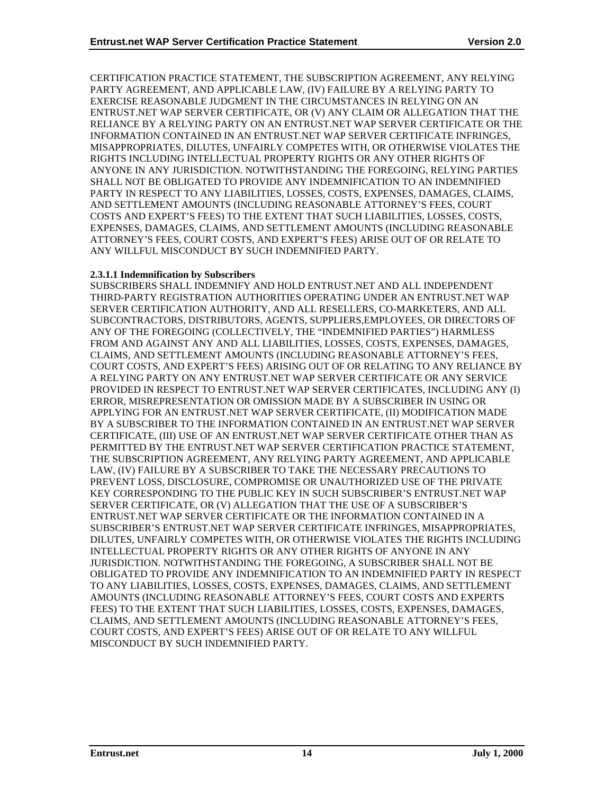CERTIFICATION PRACTICE STATEMENT, THE SUBSCRIPTION AGREEMENT, ANY RELYING PARTY AGREEMENT, AND APPLICABLE LAW, (IV) FAILURE BY A RELYING PARTY TO EXERCISE REASONABLE JUDGMENT IN THE CIRCUMSTANCES IN RELYING ON AN ENTRUST.NET WAP SERVER CERTIFICATE, OR (V) ANY CLAIM OR ALLEGATION THAT THE RELIANCE BY A RELYING PARTY ON AN ENTRUST.NET WAP SERVER CERTIFICATE OR THE INFORMATION CONTAINED IN AN ENTRUST.NET WAP SERVER CERTIFICATE INFRINGES, MISAPPROPRIATES, DILUTES, UNFAIRLY COMPETES WITH, OR OTHERWISE VIOLATES THE RIGHTS INCLUDING INTELLECTUAL PROPERTY RIGHTS OR ANY OTHER RIGHTS OF ANYONE IN ANY JURISDICTION. NOTWITHSTANDING THE FOREGOING, RELYING PARTIES SHALL NOT BE OBLIGATED TO PROVIDE ANY INDEMNIFICATION TO AN INDEMNIFIED PARTY IN RESPECT TO ANY LIABILITIES, LOSSES, COSTS, EXPENSES, DAMAGES, CLAIMS, AND SETTLEMENT AMOUNTS (INCLUDING REASONABLE ATTORNEY'S FEES, COURT COSTS AND EXPERT'S FEES) TO THE EXTENT THAT SUCH LIABILITIES, LOSSES, COSTS, EXPENSES, DAMAGES, CLAIMS, AND SETTLEMENT AMOUNTS (INCLUDING REASONABLE ATTORNEY'S FEES, COURT COSTS, AND EXPERT'S FEES) ARISE OUT OF OR RELATE TO ANY WILLFUL MISCONDUCT BY SUCH INDEMNIFIED PARTY.

#### **2.3.1.1 Indemnification by Subscribers**

SUBSCRIBERS SHALL INDEMNIFY AND HOLD ENTRUST.NET AND ALL INDEPENDENT THIRD-PARTY REGISTRATION AUTHORITIES OPERATING UNDER AN ENTRUST.NET WAP SERVER CERTIFICATION AUTHORITY, AND ALL RESELLERS, CO-MARKETERS, AND ALL SUBCONTRACTORS, DISTRIBUTORS, AGENTS, SUPPLIERS,EMPLOYEES, OR DIRECTORS OF ANY OF THE FOREGOING (COLLECTIVELY, THE "INDEMNIFIED PARTIES") HARMLESS FROM AND AGAINST ANY AND ALL LIABILITIES, LOSSES, COSTS, EXPENSES, DAMAGES, CLAIMS, AND SETTLEMENT AMOUNTS (INCLUDING REASONABLE ATTORNEY'S FEES, COURT COSTS, AND EXPERT'S FEES) ARISING OUT OF OR RELATING TO ANY RELIANCE BY A RELYING PARTY ON ANY ENTRUST.NET WAP SERVER CERTIFICATE OR ANY SERVICE PROVIDED IN RESPECT TO ENTRUST.NET WAP SERVER CERTIFICATES, INCLUDING ANY (I) ERROR, MISREPRESENTATION OR OMISSION MADE BY A SUBSCRIBER IN USING OR APPLYING FOR AN ENTRUST.NET WAP SERVER CERTIFICATE, (II) MODIFICATION MADE BY A SUBSCRIBER TO THE INFORMATION CONTAINED IN AN ENTRUST.NET WAP SERVER CERTIFICATE, (III) USE OF AN ENTRUST.NET WAP SERVER CERTIFICATE OTHER THAN AS PERMITTED BY THE ENTRUST.NET WAP SERVER CERTIFICATION PRACTICE STATEMENT, THE SUBSCRIPTION AGREEMENT, ANY RELYING PARTY AGREEMENT, AND APPLICABLE LAW, (IV) FAILURE BY A SUBSCRIBER TO TAKE THE NECESSARY PRECAUTIONS TO PREVENT LOSS, DISCLOSURE, COMPROMISE OR UNAUTHORIZED USE OF THE PRIVATE KEY CORRESPONDING TO THE PUBLIC KEY IN SUCH SUBSCRIBER'S ENTRUST.NET WAP SERVER CERTIFICATE, OR (V) ALLEGATION THAT THE USE OF A SUBSCRIBER'S ENTRUST.NET WAP SERVER CERTIFICATE OR THE INFORMATION CONTAINED IN A SUBSCRIBER'S ENTRUST.NET WAP SERVER CERTIFICATE INFRINGES, MISAPPROPRIATES, DILUTES, UNFAIRLY COMPETES WITH, OR OTHERWISE VIOLATES THE RIGHTS INCLUDING INTELLECTUAL PROPERTY RIGHTS OR ANY OTHER RIGHTS OF ANYONE IN ANY JURISDICTION. NOTWITHSTANDING THE FOREGOING, A SUBSCRIBER SHALL NOT BE OBLIGATED TO PROVIDE ANY INDEMNIFICATION TO AN INDEMNIFIED PARTY IN RESPECT TO ANY LIABILITIES, LOSSES, COSTS, EXPENSES, DAMAGES, CLAIMS, AND SETTLEMENT AMOUNTS (INCLUDING REASONABLE ATTORNEY'S FEES, COURT COSTS AND EXPERTS FEES) TO THE EXTENT THAT SUCH LIABILITIES, LOSSES, COSTS, EXPENSES, DAMAGES, CLAIMS, AND SETTLEMENT AMOUNTS (INCLUDING REASONABLE ATTORNEY'S FEES, COURT COSTS, AND EXPERT'S FEES) ARISE OUT OF OR RELATE TO ANY WILLFUL MISCONDUCT BY SUCH INDEMNIFIED PARTY.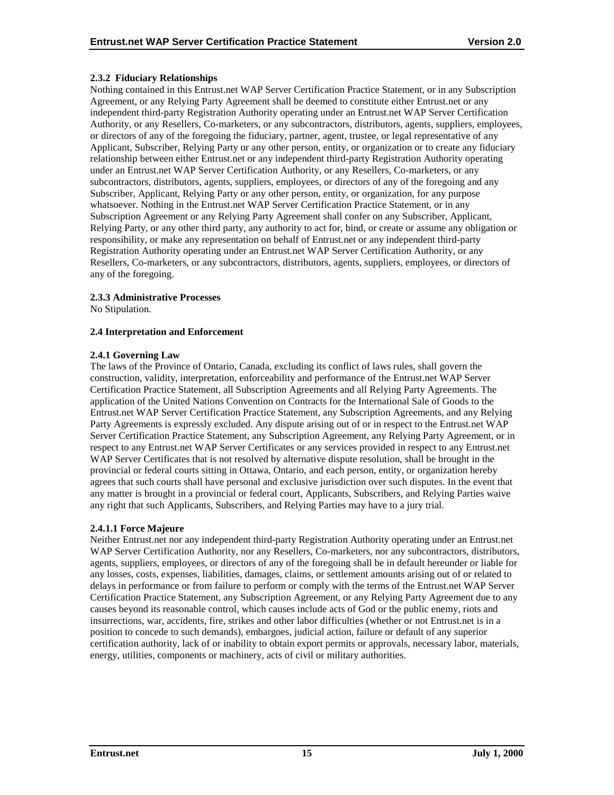## <span id="page-19-0"></span>**2.3.2 Fiduciary Relationships**

Nothing contained in this Entrust.net WAP Server Certification Practice Statement, or in any Subscription Agreement, or any Relying Party Agreement shall be deemed to constitute either Entrust.net or any independent third-party Registration Authority operating under an Entrust.net WAP Server Certification Authority, or any Resellers, Co-marketers, or any subcontractors, distributors, agents, suppliers, employees, or directors of any of the foregoing the fiduciary, partner, agent, trustee, or legal representative of any Applicant, Subscriber, Relying Party or any other person, entity, or organization or to create any fiduciary relationship between either Entrust.net or any independent third-party Registration Authority operating under an Entrust.net WAP Server Certification Authority, or any Resellers, Co-marketers, or any subcontractors, distributors, agents, suppliers, employees, or directors of any of the foregoing and any Subscriber, Applicant, Relying Party or any other person, entity, or organization, for any purpose whatsoever. Nothing in the Entrust.net WAP Server Certification Practice Statement, or in any Subscription Agreement or any Relying Party Agreement shall confer on any Subscriber, Applicant, Relying Party, or any other third party, any authority to act for, bind, or create or assume any obligation or responsibility, or make any representation on behalf of Entrust.net or any independent third-party Registration Authority operating under an Entrust.net WAP Server Certification Authority, or any Resellers, Co-marketers, or any subcontractors, distributors, agents, suppliers, employees, or directors of any of the foregoing.

#### **2.3.3 Administrative Processes**

No Stipulation.

#### **2.4 Interpretation and Enforcement**

#### **2.4.1 Governing Law**

The laws of the Province of Ontario, Canada, excluding its conflict of laws rules, shall govern the construction, validity, interpretation, enforceability and performance of the Entrust.net WAP Server Certification Practice Statement, all Subscription Agreements and all Relying Party Agreements. The application of the United Nations Convention on Contracts for the International Sale of Goods to the Entrust.net WAP Server Certification Practice Statement, any Subscription Agreements, and any Relying Party Agreements is expressly excluded. Any dispute arising out of or in respect to the Entrust.net WAP Server Certification Practice Statement, any Subscription Agreement, any Relying Party Agreement, or in respect to any Entrust.net WAP Server Certificates or any services provided in respect to any Entrust.net WAP Server Certificates that is not resolved by alternative dispute resolution, shall be brought in the provincial or federal courts sitting in Ottawa, Ontario, and each person, entity, or organization hereby agrees that such courts shall have personal and exclusive jurisdiction over such disputes. In the event that any matter is brought in a provincial or federal court, Applicants, Subscribers, and Relying Parties waive any right that such Applicants, Subscribers, and Relying Parties may have to a jury trial.

## **2.4.1.1 Force Majeure**

Neither Entrust.net nor any independent third-party Registration Authority operating under an Entrust.net WAP Server Certification Authority, nor any Resellers, Co-marketers, nor any subcontractors, distributors, agents, suppliers, employees, or directors of any of the foregoing shall be in default hereunder or liable for any losses, costs, expenses, liabilities, damages, claims, or settlement amounts arising out of or related to delays in performance or from failure to perform or comply with the terms of the Entrust.net WAP Server Certification Practice Statement, any Subscription Agreement, or any Relying Party Agreement due to any causes beyond its reasonable control, which causes include acts of God or the public enemy, riots and insurrections, war, accidents, fire, strikes and other labor difficulties (whether or not Entrust.net is in a position to concede to such demands), embargoes, judicial action, failure or default of any superior certification authority, lack of or inability to obtain export permits or approvals, necessary labor, materials, energy, utilities, components or machinery, acts of civil or military authorities.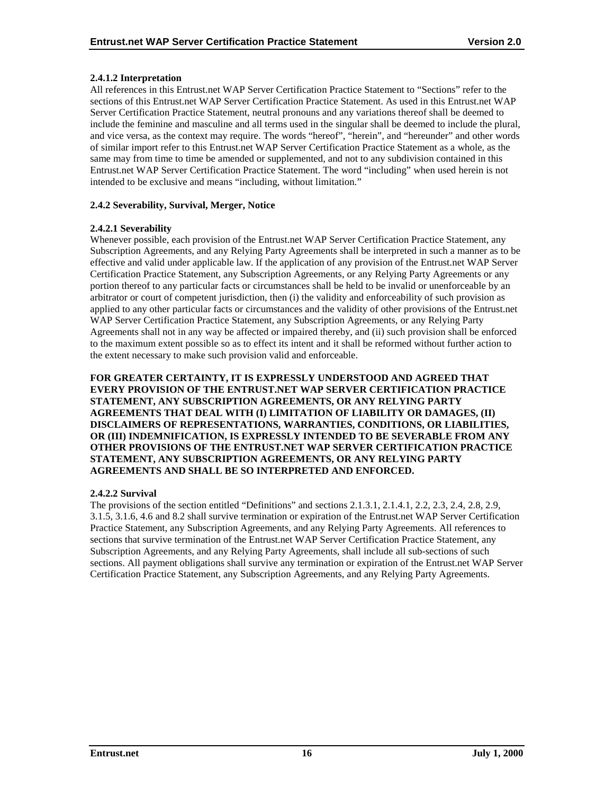## <span id="page-20-0"></span>**2.4.1.2 Interpretation**

All references in this Entrust.net WAP Server Certification Practice Statement to "Sections" refer to the sections of this Entrust.net WAP Server Certification Practice Statement. As used in this Entrust.net WAP Server Certification Practice Statement, neutral pronouns and any variations thereof shall be deemed to include the feminine and masculine and all terms used in the singular shall be deemed to include the plural, and vice versa, as the context may require. The words "hereof", "herein", and "hereunder" and other words of similar import refer to this Entrust.net WAP Server Certification Practice Statement as a whole, as the same may from time to time be amended or supplemented, and not to any subdivision contained in this Entrust.net WAP Server Certification Practice Statement. The word "including" when used herein is not intended to be exclusive and means "including, without limitation."

## **2.4.2 Severability, Survival, Merger, Notice**

#### **2.4.2.1 Severability**

Whenever possible, each provision of the Entrust.net WAP Server Certification Practice Statement, any Subscription Agreements, and any Relying Party Agreements shall be interpreted in such a manner as to be effective and valid under applicable law. If the application of any provision of the Entrust.net WAP Server Certification Practice Statement, any Subscription Agreements, or any Relying Party Agreements or any portion thereof to any particular facts or circumstances shall be held to be invalid or unenforceable by an arbitrator or court of competent jurisdiction, then (i) the validity and enforceability of such provision as applied to any other particular facts or circumstances and the validity of other provisions of the Entrust.net WAP Server Certification Practice Statement, any Subscription Agreements, or any Relying Party Agreements shall not in any way be affected or impaired thereby, and (ii) such provision shall be enforced to the maximum extent possible so as to effect its intent and it shall be reformed without further action to the extent necessary to make such provision valid and enforceable.

**FOR GREATER CERTAINTY, IT IS EXPRESSLY UNDERSTOOD AND AGREED THAT EVERY PROVISION OF THE ENTRUST.NET WAP SERVER CERTIFICATION PRACTICE STATEMENT, ANY SUBSCRIPTION AGREEMENTS, OR ANY RELYING PARTY AGREEMENTS THAT DEAL WITH (I) LIMITATION OF LIABILITY OR DAMAGES, (II) DISCLAIMERS OF REPRESENTATIONS, WARRANTIES, CONDITIONS, OR LIABILITIES, OR (III) INDEMNIFICATION, IS EXPRESSLY INTENDED TO BE SEVERABLE FROM ANY OTHER PROVISIONS OF THE ENTRUST.NET WAP SERVER CERTIFICATION PRACTICE STATEMENT, ANY SUBSCRIPTION AGREEMENTS, OR ANY RELYING PARTY AGREEMENTS AND SHALL BE SO INTERPRETED AND ENFORCED.** 

## **2.4.2.2 Survival**

The provisions of the section entitled "Definitions" and sections 2.1.3.1, 2.1.4.1, 2.2, 2.3, 2.4, 2.8, 2.9, 3.1.5, 3.1.6, 4.6 and 8.2 shall survive termination or expiration of the Entrust.net WAP Server Certification Practice Statement, any Subscription Agreements, and any Relying Party Agreements. All references to sections that survive termination of the Entrust.net WAP Server Certification Practice Statement, any Subscription Agreements, and any Relying Party Agreements, shall include all sub-sections of such sections. All payment obligations shall survive any termination or expiration of the Entrust.net WAP Server Certification Practice Statement, any Subscription Agreements, and any Relying Party Agreements.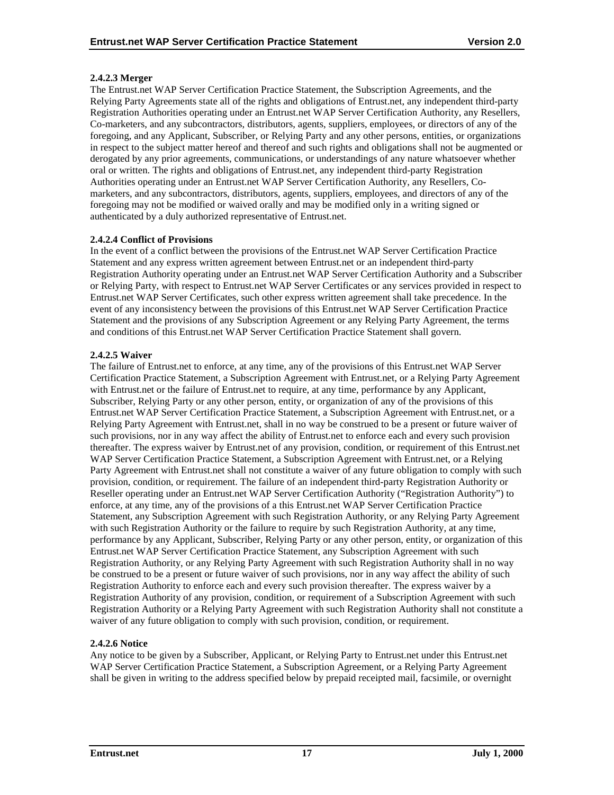## **2.4.2.3 Merger**

The Entrust.net WAP Server Certification Practice Statement, the Subscription Agreements, and the Relying Party Agreements state all of the rights and obligations of Entrust.net, any independent third-party Registration Authorities operating under an Entrust.net WAP Server Certification Authority, any Resellers, Co-marketers, and any subcontractors, distributors, agents, suppliers, employees, or directors of any of the foregoing, and any Applicant, Subscriber, or Relying Party and any other persons, entities, or organizations in respect to the subject matter hereof and thereof and such rights and obligations shall not be augmented or derogated by any prior agreements, communications, or understandings of any nature whatsoever whether oral or written. The rights and obligations of Entrust.net, any independent third-party Registration Authorities operating under an Entrust.net WAP Server Certification Authority, any Resellers, Comarketers, and any subcontractors, distributors, agents, suppliers, employees, and directors of any of the foregoing may not be modified or waived orally and may be modified only in a writing signed or authenticated by a duly authorized representative of Entrust.net.

#### **2.4.2.4 Conflict of Provisions**

In the event of a conflict between the provisions of the Entrust.net WAP Server Certification Practice Statement and any express written agreement between Entrust.net or an independent third-party Registration Authority operating under an Entrust.net WAP Server Certification Authority and a Subscriber or Relying Party, with respect to Entrust.net WAP Server Certificates or any services provided in respect to Entrust.net WAP Server Certificates, such other express written agreement shall take precedence. In the event of any inconsistency between the provisions of this Entrust.net WAP Server Certification Practice Statement and the provisions of any Subscription Agreement or any Relying Party Agreement, the terms and conditions of this Entrust.net WAP Server Certification Practice Statement shall govern.

#### **2.4.2.5 Waiver**

The failure of Entrust.net to enforce, at any time, any of the provisions of this Entrust.net WAP Server Certification Practice Statement, a Subscription Agreement with Entrust.net, or a Relying Party Agreement with Entrust.net or the failure of Entrust.net to require, at any time, performance by any Applicant, Subscriber, Relying Party or any other person, entity, or organization of any of the provisions of this Entrust.net WAP Server Certification Practice Statement, a Subscription Agreement with Entrust.net, or a Relying Party Agreement with Entrust.net, shall in no way be construed to be a present or future waiver of such provisions, nor in any way affect the ability of Entrust.net to enforce each and every such provision thereafter. The express waiver by Entrust.net of any provision, condition, or requirement of this Entrust.net WAP Server Certification Practice Statement, a Subscription Agreement with Entrust.net, or a Relying Party Agreement with Entrust.net shall not constitute a waiver of any future obligation to comply with such provision, condition, or requirement. The failure of an independent third-party Registration Authority or Reseller operating under an Entrust.net WAP Server Certification Authority ("Registration Authority") to enforce, at any time, any of the provisions of a this Entrust.net WAP Server Certification Practice Statement, any Subscription Agreement with such Registration Authority, or any Relying Party Agreement with such Registration Authority or the failure to require by such Registration Authority, at any time, performance by any Applicant, Subscriber, Relying Party or any other person, entity, or organization of this Entrust.net WAP Server Certification Practice Statement, any Subscription Agreement with such Registration Authority, or any Relying Party Agreement with such Registration Authority shall in no way be construed to be a present or future waiver of such provisions, nor in any way affect the ability of such Registration Authority to enforce each and every such provision thereafter. The express waiver by a Registration Authority of any provision, condition, or requirement of a Subscription Agreement with such Registration Authority or a Relying Party Agreement with such Registration Authority shall not constitute a waiver of any future obligation to comply with such provision, condition, or requirement.

## **2.4.2.6 Notice**

Any notice to be given by a Subscriber, Applicant, or Relying Party to Entrust.net under this Entrust.net WAP Server Certification Practice Statement, a Subscription Agreement, or a Relying Party Agreement shall be given in writing to the address specified below by prepaid receipted mail, facsimile, or overnight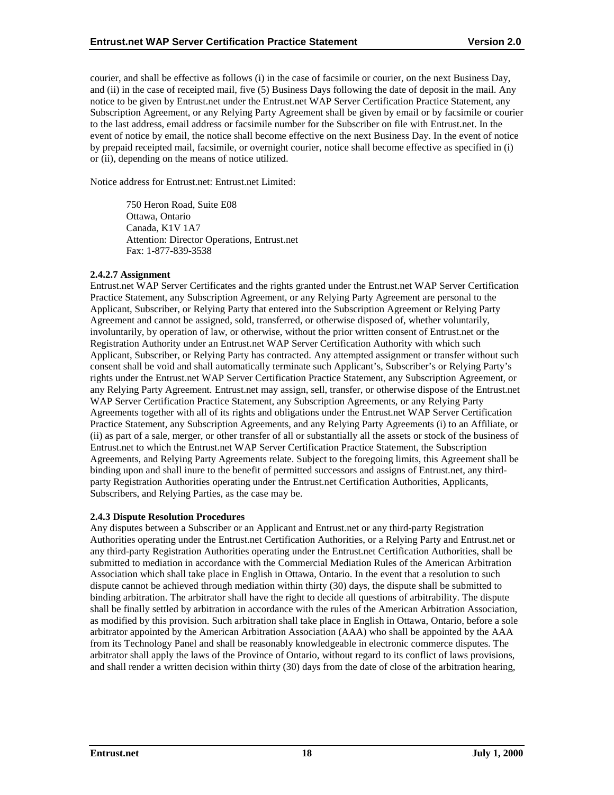<span id="page-22-0"></span>courier, and shall be effective as follows (i) in the case of facsimile or courier, on the next Business Day, and (ii) in the case of receipted mail, five (5) Business Days following the date of deposit in the mail. Any notice to be given by Entrust.net under the Entrust.net WAP Server Certification Practice Statement, any Subscription Agreement, or any Relying Party Agreement shall be given by email or by facsimile or courier to the last address, email address or facsimile number for the Subscriber on file with Entrust.net. In the event of notice by email, the notice shall become effective on the next Business Day. In the event of notice by prepaid receipted mail, facsimile, or overnight courier, notice shall become effective as specified in (i) or (ii), depending on the means of notice utilized.

Notice address for Entrust.net: Entrust.net Limited:

750 Heron Road, Suite E08 Ottawa, Ontario Canada, K1V 1A7 Attention: Director Operations, Entrust.net Fax: 1-877-839-3538

#### **2.4.2.7 Assignment**

Entrust.net WAP Server Certificates and the rights granted under the Entrust.net WAP Server Certification Practice Statement, any Subscription Agreement, or any Relying Party Agreement are personal to the Applicant, Subscriber, or Relying Party that entered into the Subscription Agreement or Relying Party Agreement and cannot be assigned, sold, transferred, or otherwise disposed of, whether voluntarily, involuntarily, by operation of law, or otherwise, without the prior written consent of Entrust.net or the Registration Authority under an Entrust.net WAP Server Certification Authority with which such Applicant, Subscriber, or Relying Party has contracted. Any attempted assignment or transfer without such consent shall be void and shall automatically terminate such Applicant's, Subscriber's or Relying Party's rights under the Entrust.net WAP Server Certification Practice Statement, any Subscription Agreement, or any Relying Party Agreement. Entrust.net may assign, sell, transfer, or otherwise dispose of the Entrust.net WAP Server Certification Practice Statement, any Subscription Agreements, or any Relying Party Agreements together with all of its rights and obligations under the Entrust.net WAP Server Certification Practice Statement, any Subscription Agreements, and any Relying Party Agreements (i) to an Affiliate, or (ii) as part of a sale, merger, or other transfer of all or substantially all the assets or stock of the business of Entrust.net to which the Entrust.net WAP Server Certification Practice Statement, the Subscription Agreements, and Relying Party Agreements relate. Subject to the foregoing limits, this Agreement shall be binding upon and shall inure to the benefit of permitted successors and assigns of Entrust.net, any thirdparty Registration Authorities operating under the Entrust.net Certification Authorities, Applicants, Subscribers, and Relying Parties, as the case may be.

#### **2.4.3 Dispute Resolution Procedures**

Any disputes between a Subscriber or an Applicant and Entrust.net or any third-party Registration Authorities operating under the Entrust.net Certification Authorities, or a Relying Party and Entrust.net or any third-party Registration Authorities operating under the Entrust.net Certification Authorities, shall be submitted to mediation in accordance with the Commercial Mediation Rules of the American Arbitration Association which shall take place in English in Ottawa, Ontario. In the event that a resolution to such dispute cannot be achieved through mediation within thirty (30) days, the dispute shall be submitted to binding arbitration. The arbitrator shall have the right to decide all questions of arbitrability. The dispute shall be finally settled by arbitration in accordance with the rules of the American Arbitration Association, as modified by this provision. Such arbitration shall take place in English in Ottawa, Ontario, before a sole arbitrator appointed by the American Arbitration Association (AAA) who shall be appointed by the AAA from its Technology Panel and shall be reasonably knowledgeable in electronic commerce disputes. The arbitrator shall apply the laws of the Province of Ontario, without regard to its conflict of laws provisions, and shall render a written decision within thirty (30) days from the date of close of the arbitration hearing,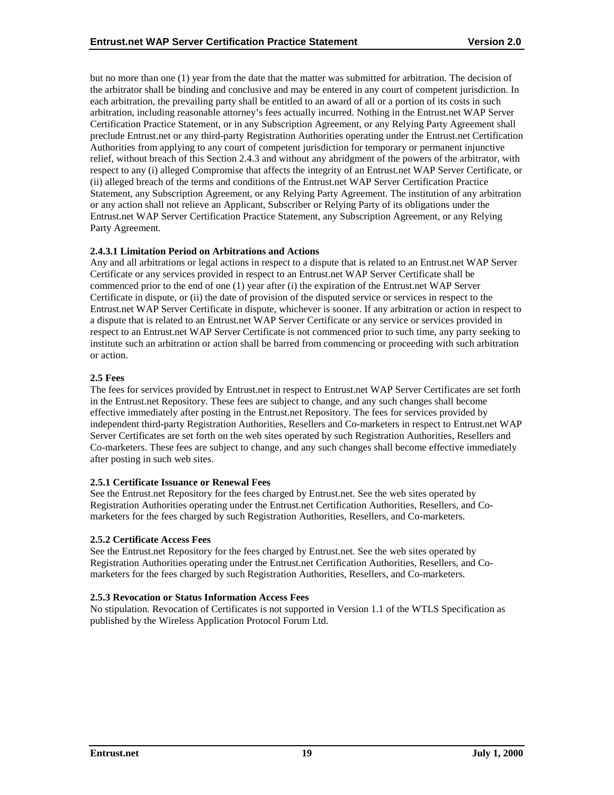<span id="page-23-0"></span>but no more than one (1) year from the date that the matter was submitted for arbitration. The decision of the arbitrator shall be binding and conclusive and may be entered in any court of competent jurisdiction. In each arbitration, the prevailing party shall be entitled to an award of all or a portion of its costs in such arbitration, including reasonable attorney's fees actually incurred. Nothing in the Entrust.net WAP Server Certification Practice Statement, or in any Subscription Agreement, or any Relying Party Agreement shall preclude Entrust.net or any third-party Registration Authorities operating under the Entrust.net Certification Authorities from applying to any court of competent jurisdiction for temporary or permanent injunctive relief, without breach of this Section 2.4.3 and without any abridgment of the powers of the arbitrator, with respect to any (i) alleged Compromise that affects the integrity of an Entrust.net WAP Server Certificate, or (ii) alleged breach of the terms and conditions of the Entrust.net WAP Server Certification Practice Statement, any Subscription Agreement, or any Relying Party Agreement. The institution of any arbitration or any action shall not relieve an Applicant, Subscriber or Relying Party of its obligations under the Entrust.net WAP Server Certification Practice Statement, any Subscription Agreement, or any Relying Party Agreement.

## **2.4.3.1 Limitation Period on Arbitrations and Actions**

Any and all arbitrations or legal actions in respect to a dispute that is related to an Entrust.net WAP Server Certificate or any services provided in respect to an Entrust.net WAP Server Certificate shall be commenced prior to the end of one (1) year after (i) the expiration of the Entrust.net WAP Server Certificate in dispute, or (ii) the date of provision of the disputed service or services in respect to the Entrust.net WAP Server Certificate in dispute, whichever is sooner. If any arbitration or action in respect to a dispute that is related to an Entrust.net WAP Server Certificate or any service or services provided in respect to an Entrust.net WAP Server Certificate is not commenced prior to such time, any party seeking to institute such an arbitration or action shall be barred from commencing or proceeding with such arbitration or action.

## **2.5 Fees**

The fees for services provided by Entrust.net in respect to Entrust.net WAP Server Certificates are set forth in the Entrust.net Repository. These fees are subject to change, and any such changes shall become effective immediately after posting in the Entrust.net Repository. The fees for services provided by independent third-party Registration Authorities, Resellers and Co-marketers in respect to Entrust.net WAP Server Certificates are set forth on the web sites operated by such Registration Authorities, Resellers and Co-marketers. These fees are subject to change, and any such changes shall become effective immediately after posting in such web sites.

## **2.5.1 Certificate Issuance or Renewal Fees**

See the Entrust.net Repository for the fees charged by Entrust.net. See the web sites operated by Registration Authorities operating under the Entrust.net Certification Authorities, Resellers, and Comarketers for the fees charged by such Registration Authorities, Resellers, and Co-marketers.

## **2.5.2 Certificate Access Fees**

See the Entrust.net Repository for the fees charged by Entrust.net. See the web sites operated by Registration Authorities operating under the Entrust.net Certification Authorities, Resellers, and Comarketers for the fees charged by such Registration Authorities, Resellers, and Co-marketers.

## **2.5.3 Revocation or Status Information Access Fees**

No stipulation. Revocation of Certificates is not supported in Version 1.1 of the WTLS Specification as published by the Wireless Application Protocol Forum Ltd.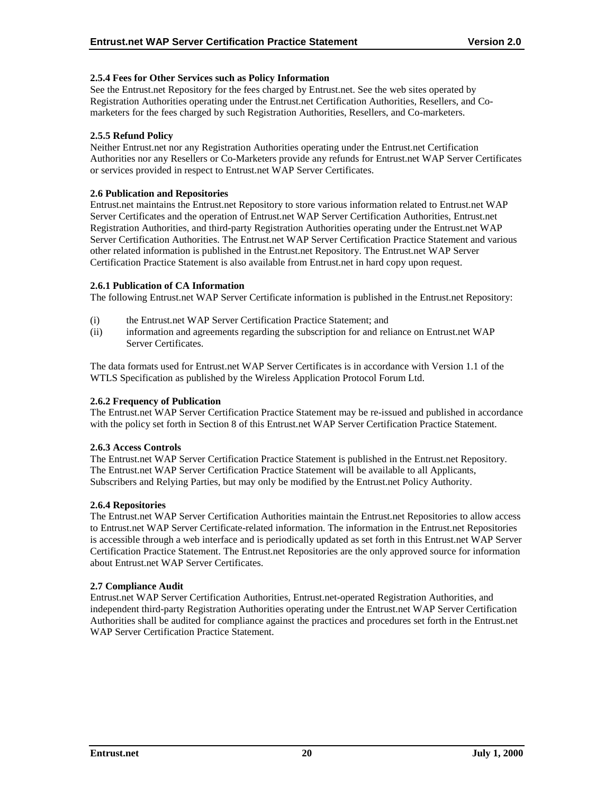## <span id="page-24-0"></span>**2.5.4 Fees for Other Services such as Policy Information**

See the Entrust.net Repository for the fees charged by Entrust.net. See the web sites operated by Registration Authorities operating under the Entrust.net Certification Authorities, Resellers, and Comarketers for the fees charged by such Registration Authorities, Resellers, and Co-marketers.

#### **2.5.5 Refund Policy**

Neither Entrust.net nor any Registration Authorities operating under the Entrust.net Certification Authorities nor any Resellers or Co-Marketers provide any refunds for Entrust.net WAP Server Certificates or services provided in respect to Entrust.net WAP Server Certificates.

#### **2.6 Publication and Repositories**

Entrust.net maintains the Entrust.net Repository to store various information related to Entrust.net WAP Server Certificates and the operation of Entrust.net WAP Server Certification Authorities, Entrust.net Registration Authorities, and third-party Registration Authorities operating under the Entrust.net WAP Server Certification Authorities. The Entrust.net WAP Server Certification Practice Statement and various other related information is published in the Entrust.net Repository. The Entrust.net WAP Server Certification Practice Statement is also available from Entrust.net in hard copy upon request.

#### **2.6.1 Publication of CA Information**

The following Entrust.net WAP Server Certificate information is published in the Entrust.net Repository:

- (i) the Entrust.net WAP Server Certification Practice Statement; and
- (ii) information and agreements regarding the subscription for and reliance on Entrust.net WAP Server Certificates.

The data formats used for Entrust.net WAP Server Certificates is in accordance with Version 1.1 of the WTLS Specification as published by the Wireless Application Protocol Forum Ltd.

#### **2.6.2 Frequency of Publication**

The Entrust.net WAP Server Certification Practice Statement may be re-issued and published in accordance with the policy set forth in Section 8 of this Entrust.net WAP Server Certification Practice Statement.

#### **2.6.3 Access Controls**

The Entrust.net WAP Server Certification Practice Statement is published in the Entrust.net Repository. The Entrust.net WAP Server Certification Practice Statement will be available to all Applicants, Subscribers and Relying Parties, but may only be modified by the Entrust.net Policy Authority.

#### **2.6.4 Repositories**

The Entrust.net WAP Server Certification Authorities maintain the Entrust.net Repositories to allow access to Entrust.net WAP Server Certificate-related information. The information in the Entrust.net Repositories is accessible through a web interface and is periodically updated as set forth in this Entrust.net WAP Server Certification Practice Statement. The Entrust.net Repositories are the only approved source for information about Entrust.net WAP Server Certificates.

#### **2.7 Compliance Audit**

Entrust.net WAP Server Certification Authorities, Entrust.net-operated Registration Authorities, and independent third-party Registration Authorities operating under the Entrust.net WAP Server Certification Authorities shall be audited for compliance against the practices and procedures set forth in the Entrust.net WAP Server Certification Practice Statement.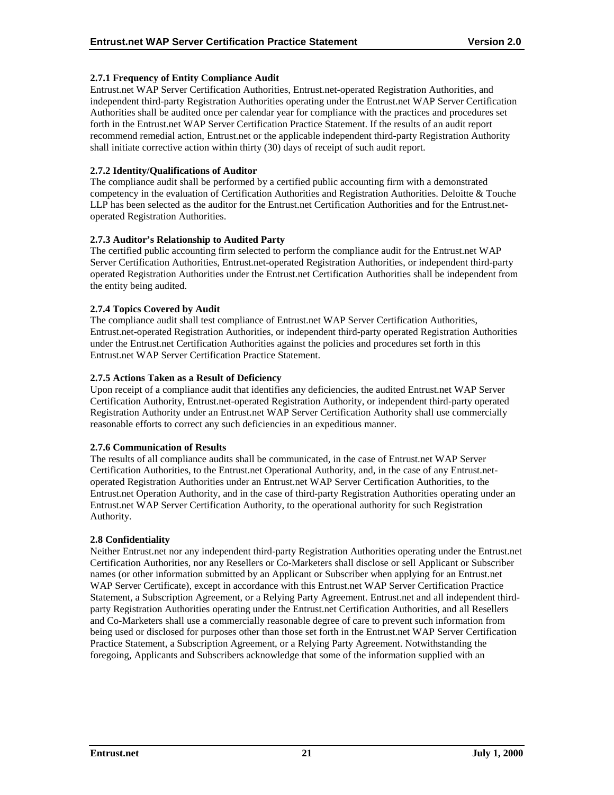## <span id="page-25-0"></span>**2.7.1 Frequency of Entity Compliance Audit**

Entrust.net WAP Server Certification Authorities, Entrust.net-operated Registration Authorities, and independent third-party Registration Authorities operating under the Entrust.net WAP Server Certification Authorities shall be audited once per calendar year for compliance with the practices and procedures set forth in the Entrust.net WAP Server Certification Practice Statement. If the results of an audit report recommend remedial action, Entrust.net or the applicable independent third-party Registration Authority shall initiate corrective action within thirty (30) days of receipt of such audit report.

#### **2.7.2 Identity/Qualifications of Auditor**

The compliance audit shall be performed by a certified public accounting firm with a demonstrated competency in the evaluation of Certification Authorities and Registration Authorities. Deloitte & Touche LLP has been selected as the auditor for the Entrust.net Certification Authorities and for the Entrust.netoperated Registration Authorities.

#### **2.7.3 Auditor's Relationship to Audited Party**

The certified public accounting firm selected to perform the compliance audit for the Entrust.net WAP Server Certification Authorities, Entrust.net-operated Registration Authorities, or independent third-party operated Registration Authorities under the Entrust.net Certification Authorities shall be independent from the entity being audited.

#### **2.7.4 Topics Covered by Audit**

The compliance audit shall test compliance of Entrust.net WAP Server Certification Authorities, Entrust.net-operated Registration Authorities, or independent third-party operated Registration Authorities under the Entrust.net Certification Authorities against the policies and procedures set forth in this Entrust.net WAP Server Certification Practice Statement.

#### **2.7.5 Actions Taken as a Result of Deficiency**

Upon receipt of a compliance audit that identifies any deficiencies, the audited Entrust.net WAP Server Certification Authority, Entrust.net-operated Registration Authority, or independent third-party operated Registration Authority under an Entrust.net WAP Server Certification Authority shall use commercially reasonable efforts to correct any such deficiencies in an expeditious manner.

#### **2.7.6 Communication of Results**

The results of all compliance audits shall be communicated, in the case of Entrust.net WAP Server Certification Authorities, to the Entrust.net Operational Authority, and, in the case of any Entrust.netoperated Registration Authorities under an Entrust.net WAP Server Certification Authorities, to the Entrust.net Operation Authority, and in the case of third-party Registration Authorities operating under an Entrust.net WAP Server Certification Authority, to the operational authority for such Registration Authority.

#### **2.8 Confidentiality**

Neither Entrust.net nor any independent third-party Registration Authorities operating under the Entrust.net Certification Authorities, nor any Resellers or Co-Marketers shall disclose or sell Applicant or Subscriber names (or other information submitted by an Applicant or Subscriber when applying for an Entrust.net WAP Server Certificate), except in accordance with this Entrust.net WAP Server Certification Practice Statement, a Subscription Agreement, or a Relying Party Agreement. Entrust.net and all independent thirdparty Registration Authorities operating under the Entrust.net Certification Authorities, and all Resellers and Co-Marketers shall use a commercially reasonable degree of care to prevent such information from being used or disclosed for purposes other than those set forth in the Entrust.net WAP Server Certification Practice Statement, a Subscription Agreement, or a Relying Party Agreement. Notwithstanding the foregoing, Applicants and Subscribers acknowledge that some of the information supplied with an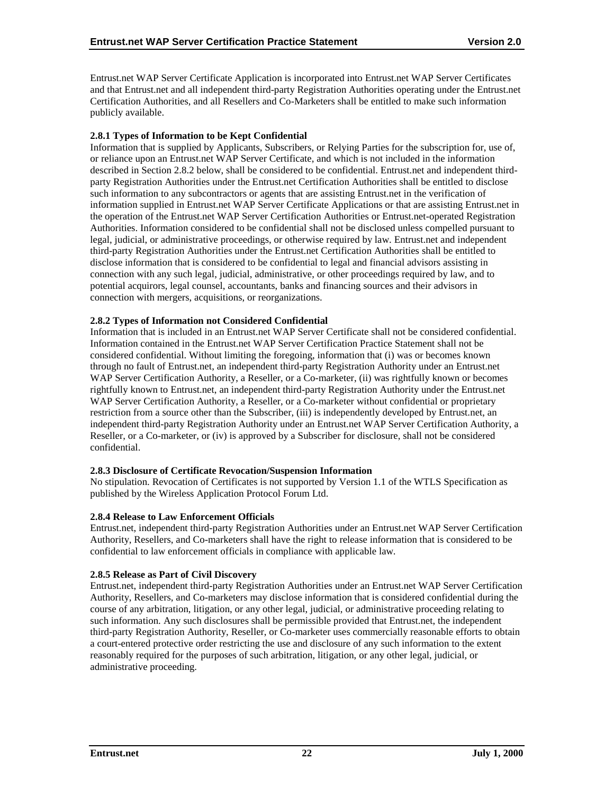<span id="page-26-0"></span>Entrust.net WAP Server Certificate Application is incorporated into Entrust.net WAP Server Certificates and that Entrust.net and all independent third-party Registration Authorities operating under the Entrust.net Certification Authorities, and all Resellers and Co-Marketers shall be entitled to make such information publicly available.

#### **2.8.1 Types of Information to be Kept Confidential**

Information that is supplied by Applicants, Subscribers, or Relying Parties for the subscription for, use of, or reliance upon an Entrust.net WAP Server Certificate, and which is not included in the information described in Section 2.8.2 below, shall be considered to be confidential. Entrust.net and independent thirdparty Registration Authorities under the Entrust.net Certification Authorities shall be entitled to disclose such information to any subcontractors or agents that are assisting Entrust.net in the verification of information supplied in Entrust.net WAP Server Certificate Applications or that are assisting Entrust.net in the operation of the Entrust.net WAP Server Certification Authorities or Entrust.net-operated Registration Authorities. Information considered to be confidential shall not be disclosed unless compelled pursuant to legal, judicial, or administrative proceedings, or otherwise required by law. Entrust.net and independent third-party Registration Authorities under the Entrust.net Certification Authorities shall be entitled to disclose information that is considered to be confidential to legal and financial advisors assisting in connection with any such legal, judicial, administrative, or other proceedings required by law, and to potential acquirors, legal counsel, accountants, banks and financing sources and their advisors in connection with mergers, acquisitions, or reorganizations.

#### **2.8.2 Types of Information not Considered Confidential**

Information that is included in an Entrust.net WAP Server Certificate shall not be considered confidential. Information contained in the Entrust.net WAP Server Certification Practice Statement shall not be considered confidential. Without limiting the foregoing, information that (i) was or becomes known through no fault of Entrust.net, an independent third-party Registration Authority under an Entrust.net WAP Server Certification Authority, a Reseller, or a Co-marketer, (ii) was rightfully known or becomes rightfully known to Entrust.net, an independent third-party Registration Authority under the Entrust.net WAP Server Certification Authority, a Reseller, or a Co-marketer without confidential or proprietary restriction from a source other than the Subscriber, (iii) is independently developed by Entrust.net, an independent third-party Registration Authority under an Entrust.net WAP Server Certification Authority, a Reseller, or a Co-marketer, or (iv) is approved by a Subscriber for disclosure, shall not be considered confidential.

#### **2.8.3 Disclosure of Certificate Revocation/Suspension Information**

No stipulation. Revocation of Certificates is not supported by Version 1.1 of the WTLS Specification as published by the Wireless Application Protocol Forum Ltd.

## **2.8.4 Release to Law Enforcement Officials**

Entrust.net, independent third-party Registration Authorities under an Entrust.net WAP Server Certification Authority, Resellers, and Co-marketers shall have the right to release information that is considered to be confidential to law enforcement officials in compliance with applicable law.

#### **2.8.5 Release as Part of Civil Discovery**

Entrust.net, independent third-party Registration Authorities under an Entrust.net WAP Server Certification Authority, Resellers, and Co-marketers may disclose information that is considered confidential during the course of any arbitration, litigation, or any other legal, judicial, or administrative proceeding relating to such information. Any such disclosures shall be permissible provided that Entrust.net, the independent third-party Registration Authority, Reseller, or Co-marketer uses commercially reasonable efforts to obtain a court-entered protective order restricting the use and disclosure of any such information to the extent reasonably required for the purposes of such arbitration, litigation, or any other legal, judicial, or administrative proceeding.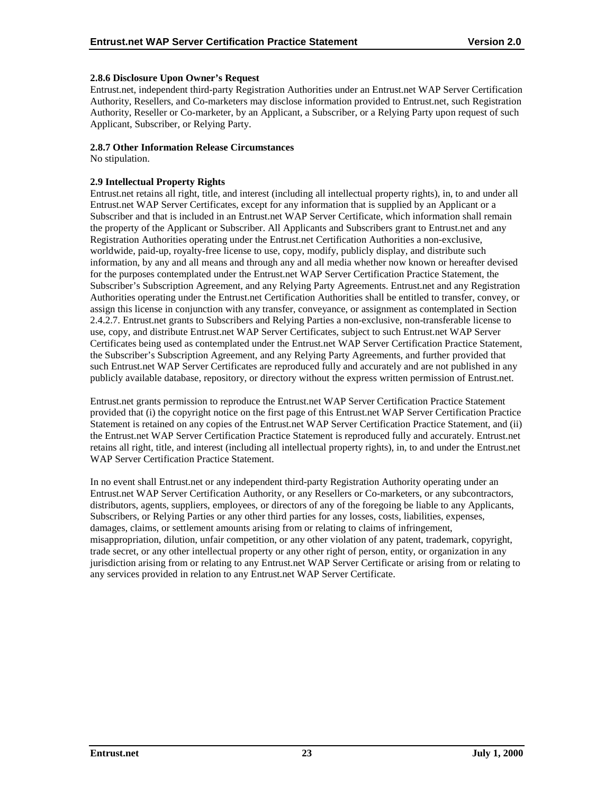#### <span id="page-27-0"></span>**2.8.6 Disclosure Upon Owner's Request**

Entrust.net, independent third-party Registration Authorities under an Entrust.net WAP Server Certification Authority, Resellers, and Co-marketers may disclose information provided to Entrust.net, such Registration Authority, Reseller or Co-marketer, by an Applicant, a Subscriber, or a Relying Party upon request of such Applicant, Subscriber, or Relying Party.

#### **2.8.7 Other Information Release Circumstances**

No stipulation.

## **2.9 Intellectual Property Rights**

Entrust.net retains all right, title, and interest (including all intellectual property rights), in, to and under all Entrust.net WAP Server Certificates, except for any information that is supplied by an Applicant or a Subscriber and that is included in an Entrust.net WAP Server Certificate, which information shall remain the property of the Applicant or Subscriber. All Applicants and Subscribers grant to Entrust.net and any Registration Authorities operating under the Entrust.net Certification Authorities a non-exclusive, worldwide, paid-up, royalty-free license to use, copy, modify, publicly display, and distribute such information, by any and all means and through any and all media whether now known or hereafter devised for the purposes contemplated under the Entrust.net WAP Server Certification Practice Statement, the Subscriber's Subscription Agreement, and any Relying Party Agreements. Entrust.net and any Registration Authorities operating under the Entrust.net Certification Authorities shall be entitled to transfer, convey, or assign this license in conjunction with any transfer, conveyance, or assignment as contemplated in Section 2.4.2.7. Entrust.net grants to Subscribers and Relying Parties a non-exclusive, non-transferable license to use, copy, and distribute Entrust.net WAP Server Certificates, subject to such Entrust.net WAP Server Certificates being used as contemplated under the Entrust.net WAP Server Certification Practice Statement, the Subscriber's Subscription Agreement, and any Relying Party Agreements, and further provided that such Entrust.net WAP Server Certificates are reproduced fully and accurately and are not published in any publicly available database, repository, or directory without the express written permission of Entrust.net.

Entrust.net grants permission to reproduce the Entrust.net WAP Server Certification Practice Statement provided that (i) the copyright notice on the first page of this Entrust.net WAP Server Certification Practice Statement is retained on any copies of the Entrust.net WAP Server Certification Practice Statement, and (ii) the Entrust.net WAP Server Certification Practice Statement is reproduced fully and accurately. Entrust.net retains all right, title, and interest (including all intellectual property rights), in, to and under the Entrust.net WAP Server Certification Practice Statement.

In no event shall Entrust.net or any independent third-party Registration Authority operating under an Entrust.net WAP Server Certification Authority, or any Resellers or Co-marketers, or any subcontractors, distributors, agents, suppliers, employees, or directors of any of the foregoing be liable to any Applicants, Subscribers, or Relying Parties or any other third parties for any losses, costs, liabilities, expenses, damages, claims, or settlement amounts arising from or relating to claims of infringement, misappropriation, dilution, unfair competition, or any other violation of any patent, trademark, copyright, trade secret, or any other intellectual property or any other right of person, entity, or organization in any jurisdiction arising from or relating to any Entrust.net WAP Server Certificate or arising from or relating to any services provided in relation to any Entrust.net WAP Server Certificate.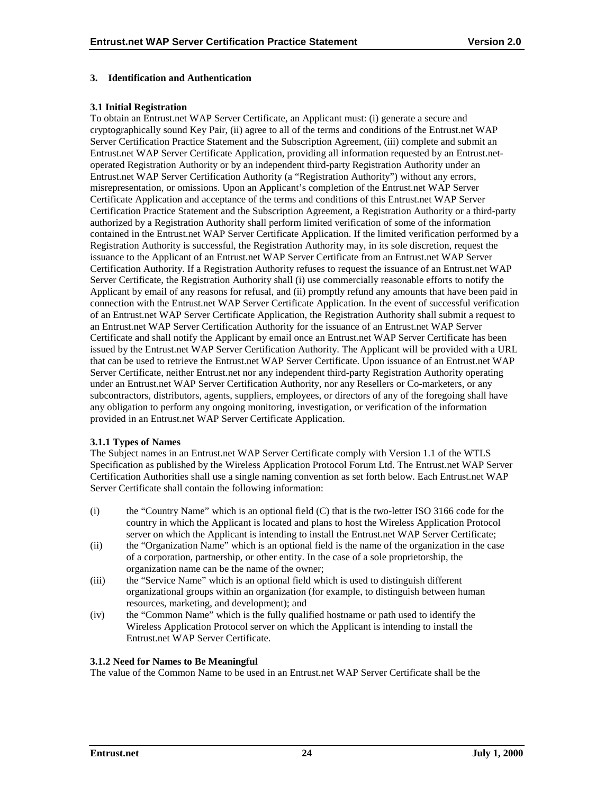## <span id="page-28-0"></span>**3. Identification and Authentication**

#### **3.1 Initial Registration**

To obtain an Entrust.net WAP Server Certificate, an Applicant must: (i) generate a secure and cryptographically sound Key Pair, (ii) agree to all of the terms and conditions of the Entrust.net WAP Server Certification Practice Statement and the Subscription Agreement, (iii) complete and submit an Entrust.net WAP Server Certificate Application, providing all information requested by an Entrust.netoperated Registration Authority or by an independent third-party Registration Authority under an Entrust.net WAP Server Certification Authority (a "Registration Authority") without any errors, misrepresentation, or omissions. Upon an Applicant's completion of the Entrust.net WAP Server Certificate Application and acceptance of the terms and conditions of this Entrust.net WAP Server Certification Practice Statement and the Subscription Agreement, a Registration Authority or a third-party authorized by a Registration Authority shall perform limited verification of some of the information contained in the Entrust.net WAP Server Certificate Application. If the limited verification performed by a Registration Authority is successful, the Registration Authority may, in its sole discretion, request the issuance to the Applicant of an Entrust.net WAP Server Certificate from an Entrust.net WAP Server Certification Authority. If a Registration Authority refuses to request the issuance of an Entrust.net WAP Server Certificate, the Registration Authority shall (i) use commercially reasonable efforts to notify the Applicant by email of any reasons for refusal, and (ii) promptly refund any amounts that have been paid in connection with the Entrust.net WAP Server Certificate Application. In the event of successful verification of an Entrust.net WAP Server Certificate Application, the Registration Authority shall submit a request to an Entrust.net WAP Server Certification Authority for the issuance of an Entrust.net WAP Server Certificate and shall notify the Applicant by email once an Entrust.net WAP Server Certificate has been issued by the Entrust.net WAP Server Certification Authority. The Applicant will be provided with a URL that can be used to retrieve the Entrust.net WAP Server Certificate. Upon issuance of an Entrust.net WAP Server Certificate, neither Entrust.net nor any independent third-party Registration Authority operating under an Entrust.net WAP Server Certification Authority, nor any Resellers or Co-marketers, or any subcontractors, distributors, agents, suppliers, employees, or directors of any of the foregoing shall have any obligation to perform any ongoing monitoring, investigation, or verification of the information provided in an Entrust.net WAP Server Certificate Application.

#### **3.1.1 Types of Names**

The Subject names in an Entrust.net WAP Server Certificate comply with Version 1.1 of the WTLS Specification as published by the Wireless Application Protocol Forum Ltd. The Entrust.net WAP Server Certification Authorities shall use a single naming convention as set forth below. Each Entrust.net WAP Server Certificate shall contain the following information:

- (i) the "Country Name" which is an optional field (C) that is the two-letter ISO 3166 code for the country in which the Applicant is located and plans to host the Wireless Application Protocol server on which the Applicant is intending to install the Entrust.net WAP Server Certificate;
- (ii) the "Organization Name" which is an optional field is the name of the organization in the case of a corporation, partnership, or other entity. In the case of a sole proprietorship, the organization name can be the name of the owner;
- (iii) the "Service Name" which is an optional field which is used to distinguish different organizational groups within an organization (for example, to distinguish between human resources, marketing, and development); and
- (iv) the "Common Name" which is the fully qualified hostname or path used to identify the Wireless Application Protocol server on which the Applicant is intending to install the Entrust.net WAP Server Certificate.

#### **3.1.2 Need for Names to Be Meaningful**

The value of the Common Name to be used in an Entrust.net WAP Server Certificate shall be the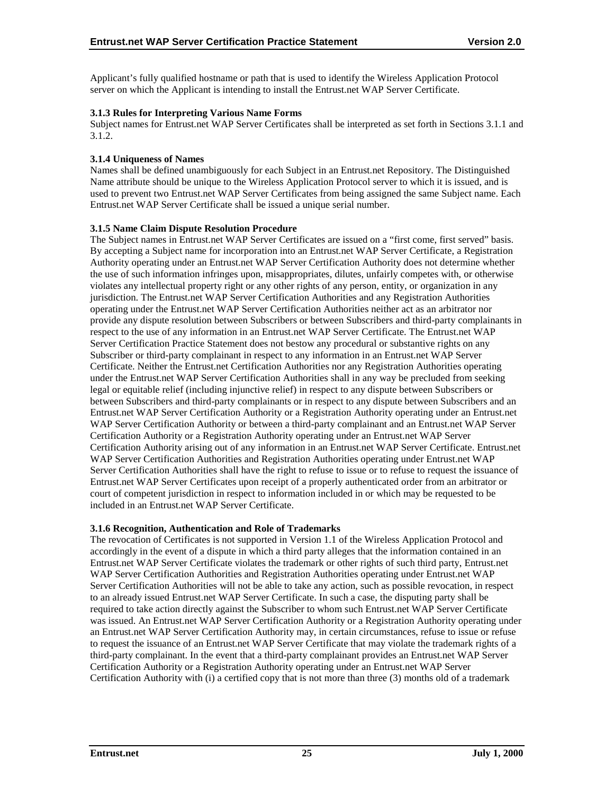<span id="page-29-0"></span>Applicant's fully qualified hostname or path that is used to identify the Wireless Application Protocol server on which the Applicant is intending to install the Entrust.net WAP Server Certificate.

#### **3.1.3 Rules for Interpreting Various Name Forms**

Subject names for Entrust.net WAP Server Certificates shall be interpreted as set forth in Sections 3.1.1 and 3.1.2.

#### **3.1.4 Uniqueness of Names**

Names shall be defined unambiguously for each Subject in an Entrust.net Repository. The Distinguished Name attribute should be unique to the Wireless Application Protocol server to which it is issued, and is used to prevent two Entrust.net WAP Server Certificates from being assigned the same Subject name. Each Entrust.net WAP Server Certificate shall be issued a unique serial number.

#### **3.1.5 Name Claim Dispute Resolution Procedure**

The Subject names in Entrust.net WAP Server Certificates are issued on a "first come, first served" basis. By accepting a Subject name for incorporation into an Entrust.net WAP Server Certificate, a Registration Authority operating under an Entrust.net WAP Server Certification Authority does not determine whether the use of such information infringes upon, misappropriates, dilutes, unfairly competes with, or otherwise violates any intellectual property right or any other rights of any person, entity, or organization in any jurisdiction. The Entrust.net WAP Server Certification Authorities and any Registration Authorities operating under the Entrust.net WAP Server Certification Authorities neither act as an arbitrator nor provide any dispute resolution between Subscribers or between Subscribers and third-party complainants in respect to the use of any information in an Entrust.net WAP Server Certificate. The Entrust.net WAP Server Certification Practice Statement does not bestow any procedural or substantive rights on any Subscriber or third-party complainant in respect to any information in an Entrust.net WAP Server Certificate. Neither the Entrust.net Certification Authorities nor any Registration Authorities operating under the Entrust.net WAP Server Certification Authorities shall in any way be precluded from seeking legal or equitable relief (including injunctive relief) in respect to any dispute between Subscribers or between Subscribers and third-party complainants or in respect to any dispute between Subscribers and an Entrust.net WAP Server Certification Authority or a Registration Authority operating under an Entrust.net WAP Server Certification Authority or between a third-party complainant and an Entrust.net WAP Server Certification Authority or a Registration Authority operating under an Entrust.net WAP Server Certification Authority arising out of any information in an Entrust.net WAP Server Certificate. Entrust.net WAP Server Certification Authorities and Registration Authorities operating under Entrust.net WAP Server Certification Authorities shall have the right to refuse to issue or to refuse to request the issuance of Entrust.net WAP Server Certificates upon receipt of a properly authenticated order from an arbitrator or court of competent jurisdiction in respect to information included in or which may be requested to be included in an Entrust.net WAP Server Certificate.

#### **3.1.6 Recognition, Authentication and Role of Trademarks**

The revocation of Certificates is not supported in Version 1.1 of the Wireless Application Protocol and accordingly in the event of a dispute in which a third party alleges that the information contained in an Entrust.net WAP Server Certificate violates the trademark or other rights of such third party, Entrust.net WAP Server Certification Authorities and Registration Authorities operating under Entrust.net WAP Server Certification Authorities will not be able to take any action, such as possible revocation, in respect to an already issued Entrust.net WAP Server Certificate. In such a case, the disputing party shall be required to take action directly against the Subscriber to whom such Entrust.net WAP Server Certificate was issued. An Entrust.net WAP Server Certification Authority or a Registration Authority operating under an Entrust.net WAP Server Certification Authority may, in certain circumstances, refuse to issue or refuse to request the issuance of an Entrust.net WAP Server Certificate that may violate the trademark rights of a third-party complainant. In the event that a third-party complainant provides an Entrust.net WAP Server Certification Authority or a Registration Authority operating under an Entrust.net WAP Server Certification Authority with (i) a certified copy that is not more than three (3) months old of a trademark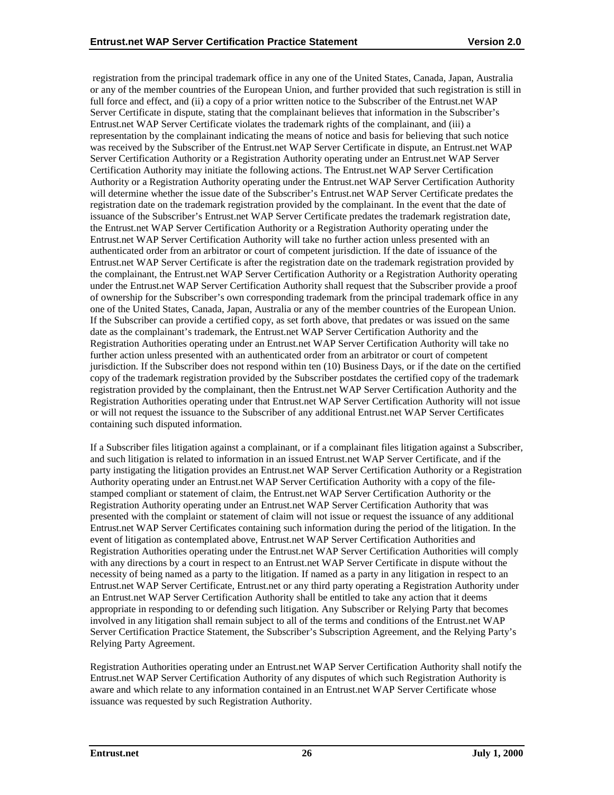registration from the principal trademark office in any one of the United States, Canada, Japan, Australia or any of the member countries of the European Union, and further provided that such registration is still in full force and effect, and (ii) a copy of a prior written notice to the Subscriber of the Entrust.net WAP Server Certificate in dispute, stating that the complainant believes that information in the Subscriber's Entrust.net WAP Server Certificate violates the trademark rights of the complainant, and (iii) a representation by the complainant indicating the means of notice and basis for believing that such notice was received by the Subscriber of the Entrust.net WAP Server Certificate in dispute, an Entrust.net WAP Server Certification Authority or a Registration Authority operating under an Entrust.net WAP Server Certification Authority may initiate the following actions. The Entrust.net WAP Server Certification Authority or a Registration Authority operating under the Entrust.net WAP Server Certification Authority will determine whether the issue date of the Subscriber's Entrust.net WAP Server Certificate predates the registration date on the trademark registration provided by the complainant. In the event that the date of issuance of the Subscriber's Entrust.net WAP Server Certificate predates the trademark registration date, the Entrust.net WAP Server Certification Authority or a Registration Authority operating under the Entrust.net WAP Server Certification Authority will take no further action unless presented with an authenticated order from an arbitrator or court of competent jurisdiction. If the date of issuance of the Entrust.net WAP Server Certificate is after the registration date on the trademark registration provided by the complainant, the Entrust.net WAP Server Certification Authority or a Registration Authority operating under the Entrust.net WAP Server Certification Authority shall request that the Subscriber provide a proof of ownership for the Subscriber's own corresponding trademark from the principal trademark office in any one of the United States, Canada, Japan, Australia or any of the member countries of the European Union. If the Subscriber can provide a certified copy, as set forth above, that predates or was issued on the same date as the complainant's trademark, the Entrust.net WAP Server Certification Authority and the Registration Authorities operating under an Entrust.net WAP Server Certification Authority will take no further action unless presented with an authenticated order from an arbitrator or court of competent jurisdiction. If the Subscriber does not respond within ten (10) Business Days, or if the date on the certified copy of the trademark registration provided by the Subscriber postdates the certified copy of the trademark registration provided by the complainant, then the Entrust.net WAP Server Certification Authority and the Registration Authorities operating under that Entrust.net WAP Server Certification Authority will not issue or will not request the issuance to the Subscriber of any additional Entrust.net WAP Server Certificates containing such disputed information.

If a Subscriber files litigation against a complainant, or if a complainant files litigation against a Subscriber, and such litigation is related to information in an issued Entrust.net WAP Server Certificate, and if the party instigating the litigation provides an Entrust.net WAP Server Certification Authority or a Registration Authority operating under an Entrust.net WAP Server Certification Authority with a copy of the filestamped compliant or statement of claim, the Entrust.net WAP Server Certification Authority or the Registration Authority operating under an Entrust.net WAP Server Certification Authority that was presented with the complaint or statement of claim will not issue or request the issuance of any additional Entrust.net WAP Server Certificates containing such information during the period of the litigation. In the event of litigation as contemplated above, Entrust.net WAP Server Certification Authorities and Registration Authorities operating under the Entrust.net WAP Server Certification Authorities will comply with any directions by a court in respect to an Entrust.net WAP Server Certificate in dispute without the necessity of being named as a party to the litigation. If named as a party in any litigation in respect to an Entrust.net WAP Server Certificate, Entrust.net or any third party operating a Registration Authority under an Entrust.net WAP Server Certification Authority shall be entitled to take any action that it deems appropriate in responding to or defending such litigation. Any Subscriber or Relying Party that becomes involved in any litigation shall remain subject to all of the terms and conditions of the Entrust.net WAP Server Certification Practice Statement, the Subscriber's Subscription Agreement, and the Relying Party's Relying Party Agreement.

Registration Authorities operating under an Entrust.net WAP Server Certification Authority shall notify the Entrust.net WAP Server Certification Authority of any disputes of which such Registration Authority is aware and which relate to any information contained in an Entrust.net WAP Server Certificate whose issuance was requested by such Registration Authority.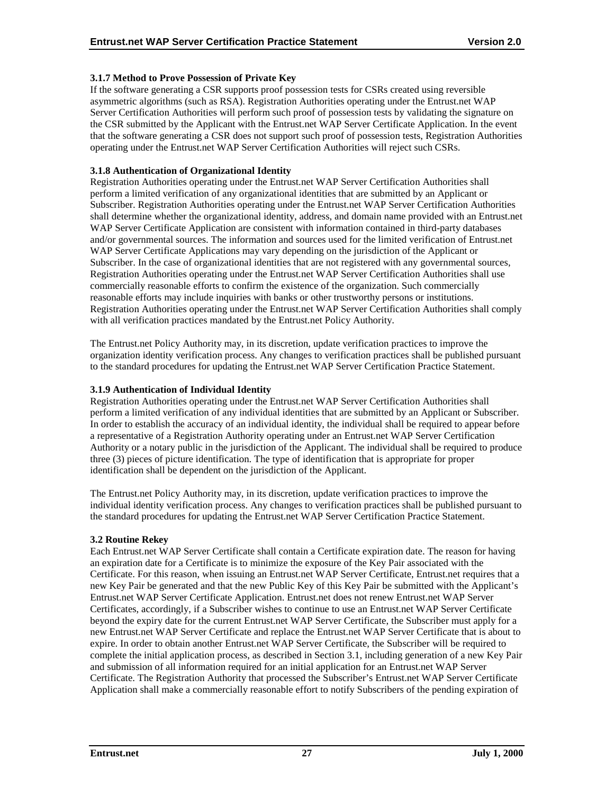## <span id="page-31-0"></span>**3.1.7 Method to Prove Possession of Private Key**

If the software generating a CSR supports proof possession tests for CSRs created using reversible asymmetric algorithms (such as RSA). Registration Authorities operating under the Entrust.net WAP Server Certification Authorities will perform such proof of possession tests by validating the signature on the CSR submitted by the Applicant with the Entrust.net WAP Server Certificate Application. In the event that the software generating a CSR does not support such proof of possession tests, Registration Authorities operating under the Entrust.net WAP Server Certification Authorities will reject such CSRs.

#### **3.1.8 Authentication of Organizational Identity**

Registration Authorities operating under the Entrust.net WAP Server Certification Authorities shall perform a limited verification of any organizational identities that are submitted by an Applicant or Subscriber. Registration Authorities operating under the Entrust.net WAP Server Certification Authorities shall determine whether the organizational identity, address, and domain name provided with an Entrust.net WAP Server Certificate Application are consistent with information contained in third-party databases and/or governmental sources. The information and sources used for the limited verification of Entrust.net WAP Server Certificate Applications may vary depending on the jurisdiction of the Applicant or Subscriber. In the case of organizational identities that are not registered with any governmental sources, Registration Authorities operating under the Entrust.net WAP Server Certification Authorities shall use commercially reasonable efforts to confirm the existence of the organization. Such commercially reasonable efforts may include inquiries with banks or other trustworthy persons or institutions. Registration Authorities operating under the Entrust.net WAP Server Certification Authorities shall comply with all verification practices mandated by the Entrust.net Policy Authority.

The Entrust.net Policy Authority may, in its discretion, update verification practices to improve the organization identity verification process. Any changes to verification practices shall be published pursuant to the standard procedures for updating the Entrust.net WAP Server Certification Practice Statement.

#### **3.1.9 Authentication of Individual Identity**

Registration Authorities operating under the Entrust.net WAP Server Certification Authorities shall perform a limited verification of any individual identities that are submitted by an Applicant or Subscriber. In order to establish the accuracy of an individual identity, the individual shall be required to appear before a representative of a Registration Authority operating under an Entrust.net WAP Server Certification Authority or a notary public in the jurisdiction of the Applicant. The individual shall be required to produce three (3) pieces of picture identification. The type of identification that is appropriate for proper identification shall be dependent on the jurisdiction of the Applicant.

The Entrust.net Policy Authority may, in its discretion, update verification practices to improve the individual identity verification process. Any changes to verification practices shall be published pursuant to the standard procedures for updating the Entrust.net WAP Server Certification Practice Statement.

#### **3.2 Routine Rekey**

Each Entrust.net WAP Server Certificate shall contain a Certificate expiration date. The reason for having an expiration date for a Certificate is to minimize the exposure of the Key Pair associated with the Certificate. For this reason, when issuing an Entrust.net WAP Server Certificate, Entrust.net requires that a new Key Pair be generated and that the new Public Key of this Key Pair be submitted with the Applicant's Entrust.net WAP Server Certificate Application. Entrust.net does not renew Entrust.net WAP Server Certificates, accordingly, if a Subscriber wishes to continue to use an Entrust.net WAP Server Certificate beyond the expiry date for the current Entrust.net WAP Server Certificate, the Subscriber must apply for a new Entrust.net WAP Server Certificate and replace the Entrust.net WAP Server Certificate that is about to expire. In order to obtain another Entrust.net WAP Server Certificate, the Subscriber will be required to complete the initial application process, as described in Section 3.1, including generation of a new Key Pair and submission of all information required for an initial application for an Entrust.net WAP Server Certificate. The Registration Authority that processed the Subscriber's Entrust.net WAP Server Certificate Application shall make a commercially reasonable effort to notify Subscribers of the pending expiration of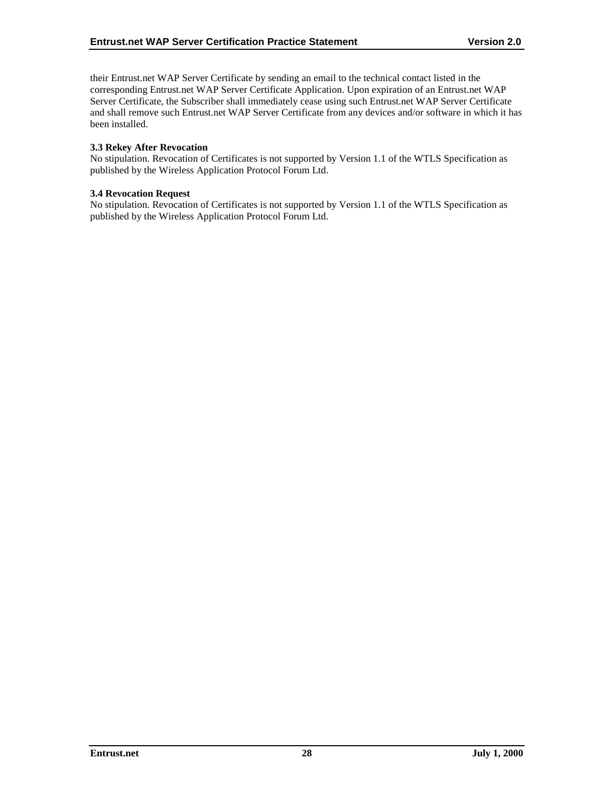<span id="page-32-0"></span>their Entrust.net WAP Server Certificate by sending an email to the technical contact listed in the corresponding Entrust.net WAP Server Certificate Application. Upon expiration of an Entrust.net WAP Server Certificate, the Subscriber shall immediately cease using such Entrust.net WAP Server Certificate and shall remove such Entrust.net WAP Server Certificate from any devices and/or software in which it has been installed.

#### **3.3 Rekey After Revocation**

No stipulation. Revocation of Certificates is not supported by Version 1.1 of the WTLS Specification as published by the Wireless Application Protocol Forum Ltd.

#### **3.4 Revocation Request**

No stipulation. Revocation of Certificates is not supported by Version 1.1 of the WTLS Specification as published by the Wireless Application Protocol Forum Ltd.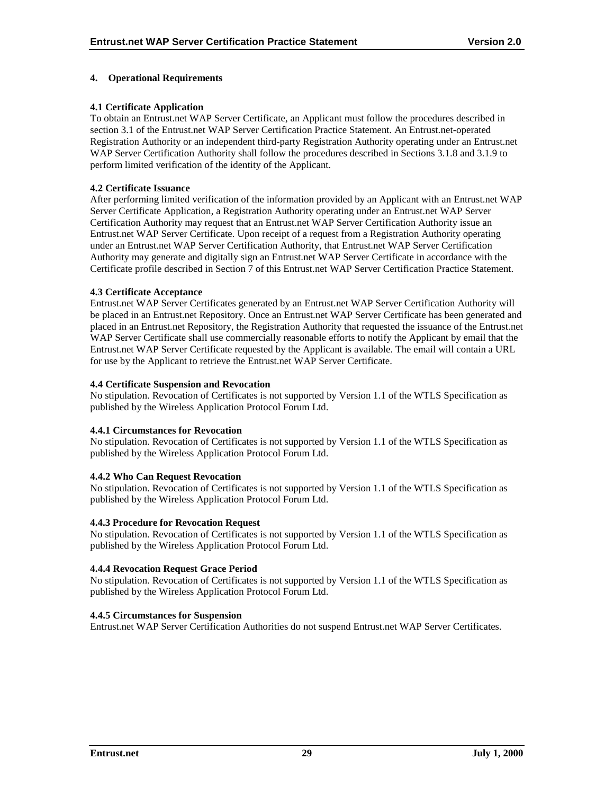## <span id="page-33-0"></span>**4. Operational Requirements**

## **4.1 Certificate Application**

To obtain an Entrust.net WAP Server Certificate, an Applicant must follow the procedures described in section 3.1 of the Entrust.net WAP Server Certification Practice Statement. An Entrust.net-operated Registration Authority or an independent third-party Registration Authority operating under an Entrust.net WAP Server Certification Authority shall follow the procedures described in Sections 3.1.8 and 3.1.9 to perform limited verification of the identity of the Applicant.

## **4.2 Certificate Issuance**

After performing limited verification of the information provided by an Applicant with an Entrust.net WAP Server Certificate Application, a Registration Authority operating under an Entrust.net WAP Server Certification Authority may request that an Entrust.net WAP Server Certification Authority issue an Entrust.net WAP Server Certificate. Upon receipt of a request from a Registration Authority operating under an Entrust.net WAP Server Certification Authority, that Entrust.net WAP Server Certification Authority may generate and digitally sign an Entrust.net WAP Server Certificate in accordance with the Certificate profile described in Section 7 of this Entrust.net WAP Server Certification Practice Statement.

## **4.3 Certificate Acceptance**

Entrust.net WAP Server Certificates generated by an Entrust.net WAP Server Certification Authority will be placed in an Entrust.net Repository. Once an Entrust.net WAP Server Certificate has been generated and placed in an Entrust.net Repository, the Registration Authority that requested the issuance of the Entrust.net WAP Server Certificate shall use commercially reasonable efforts to notify the Applicant by email that the Entrust.net WAP Server Certificate requested by the Applicant is available. The email will contain a URL for use by the Applicant to retrieve the Entrust.net WAP Server Certificate.

#### **4.4 Certificate Suspension and Revocation**

No stipulation. Revocation of Certificates is not supported by Version 1.1 of the WTLS Specification as published by the Wireless Application Protocol Forum Ltd.

## **4.4.1 Circumstances for Revocation**

No stipulation. Revocation of Certificates is not supported by Version 1.1 of the WTLS Specification as published by the Wireless Application Protocol Forum Ltd.

## **4.4.2 Who Can Request Revocation**

No stipulation. Revocation of Certificates is not supported by Version 1.1 of the WTLS Specification as published by the Wireless Application Protocol Forum Ltd.

## **4.4.3 Procedure for Revocation Request**

No stipulation. Revocation of Certificates is not supported by Version 1.1 of the WTLS Specification as published by the Wireless Application Protocol Forum Ltd.

## **4.4.4 Revocation Request Grace Period**

No stipulation. Revocation of Certificates is not supported by Version 1.1 of the WTLS Specification as published by the Wireless Application Protocol Forum Ltd.

## **4.4.5 Circumstances for Suspension**

Entrust.net WAP Server Certification Authorities do not suspend Entrust.net WAP Server Certificates.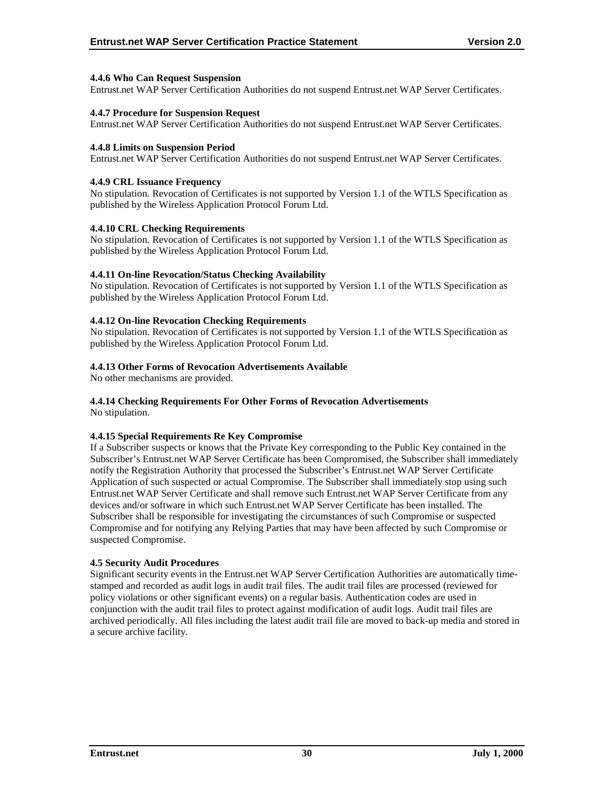#### <span id="page-34-0"></span>**4.4.6 Who Can Request Suspension**

Entrust.net WAP Server Certification Authorities do not suspend Entrust.net WAP Server Certificates.

#### **4.4.7 Procedure for Suspension Request**

Entrust.net WAP Server Certification Authorities do not suspend Entrust.net WAP Server Certificates.

#### **4.4.8 Limits on Suspension Period**

Entrust.net WAP Server Certification Authorities do not suspend Entrust.net WAP Server Certificates.

#### **4.4.9 CRL Issuance Frequency**

No stipulation. Revocation of Certificates is not supported by Version 1.1 of the WTLS Specification as published by the Wireless Application Protocol Forum Ltd.

#### **4.4.10 CRL Checking Requirements**

No stipulation. Revocation of Certificates is not supported by Version 1.1 of the WTLS Specification as published by the Wireless Application Protocol Forum Ltd.

#### **4.4.11 On-line Revocation/Status Checking Availability**

No stipulation. Revocation of Certificates is not supported by Version 1.1 of the WTLS Specification as published by the Wireless Application Protocol Forum Ltd.

#### **4.4.12 On-line Revocation Checking Requirements**

No stipulation. Revocation of Certificates is not supported by Version 1.1 of the WTLS Specification as published by the Wireless Application Protocol Forum Ltd.

#### **4.4.13 Other Forms of Revocation Advertisements Available**

No other mechanisms are provided.

## **4.4.14 Checking Requirements For Other Forms of Revocation Advertisements**

No stipulation.

## **4.4.15 Special Requirements Re Key Compromise**

If a Subscriber suspects or knows that the Private Key corresponding to the Public Key contained in the Subscriber's Entrust.net WAP Server Certificate has been Compromised, the Subscriber shall immediately notify the Registration Authority that processed the Subscriber's Entrust.net WAP Server Certificate Application of such suspected or actual Compromise. The Subscriber shall immediately stop using such Entrust.net WAP Server Certificate and shall remove such Entrust.net WAP Server Certificate from any devices and/or software in which such Entrust.net WAP Server Certificate has been installed. The Subscriber shall be responsible for investigating the circumstances of such Compromise or suspected Compromise and for notifying any Relying Parties that may have been affected by such Compromise or suspected Compromise.

#### **4.5 Security Audit Procedures**

Significant security events in the Entrust.net WAP Server Certification Authorities are automatically timestamped and recorded as audit logs in audit trail files. The audit trail files are processed (reviewed for policy violations or other significant events) on a regular basis. Authentication codes are used in conjunction with the audit trail files to protect against modification of audit logs. Audit trail files are archived periodically. All files including the latest audit trail file are moved to back-up media and stored in a secure archive facility.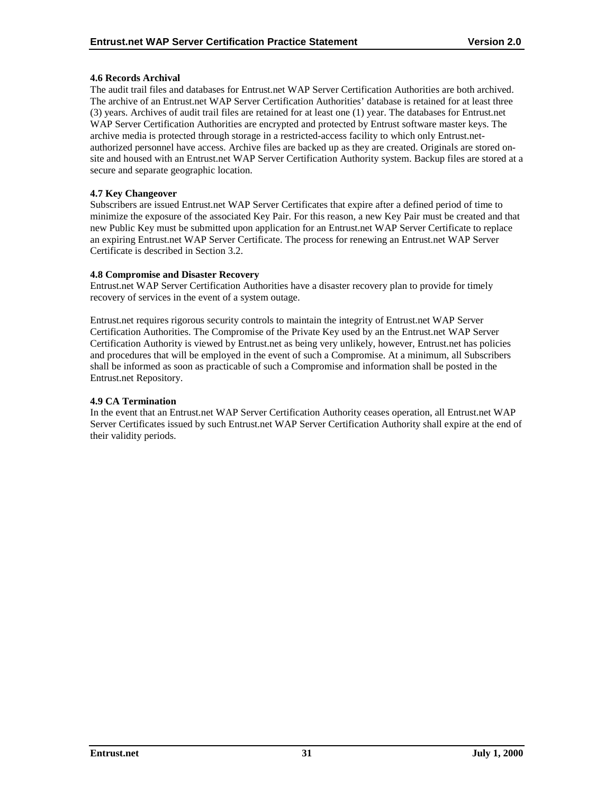#### <span id="page-35-0"></span>**4.6 Records Archival**

The audit trail files and databases for Entrust.net WAP Server Certification Authorities are both archived. The archive of an Entrust.net WAP Server Certification Authorities' database is retained for at least three (3) years. Archives of audit trail files are retained for at least one (1) year. The databases for Entrust.net WAP Server Certification Authorities are encrypted and protected by Entrust software master keys. The archive media is protected through storage in a restricted-access facility to which only Entrust.netauthorized personnel have access. Archive files are backed up as they are created. Originals are stored onsite and housed with an Entrust.net WAP Server Certification Authority system. Backup files are stored at a secure and separate geographic location.

#### **4.7 Key Changeover**

Subscribers are issued Entrust.net WAP Server Certificates that expire after a defined period of time to minimize the exposure of the associated Key Pair. For this reason, a new Key Pair must be created and that new Public Key must be submitted upon application for an Entrust.net WAP Server Certificate to replace an expiring Entrust.net WAP Server Certificate. The process for renewing an Entrust.net WAP Server Certificate is described in Section 3.2.

#### **4.8 Compromise and Disaster Recovery**

Entrust.net WAP Server Certification Authorities have a disaster recovery plan to provide for timely recovery of services in the event of a system outage.

Entrust.net requires rigorous security controls to maintain the integrity of Entrust.net WAP Server Certification Authorities. The Compromise of the Private Key used by an the Entrust.net WAP Server Certification Authority is viewed by Entrust.net as being very unlikely, however, Entrust.net has policies and procedures that will be employed in the event of such a Compromise. At a minimum, all Subscribers shall be informed as soon as practicable of such a Compromise and information shall be posted in the Entrust.net Repository.

#### **4.9 CA Termination**

In the event that an Entrust.net WAP Server Certification Authority ceases operation, all Entrust.net WAP Server Certificates issued by such Entrust.net WAP Server Certification Authority shall expire at the end of their validity periods.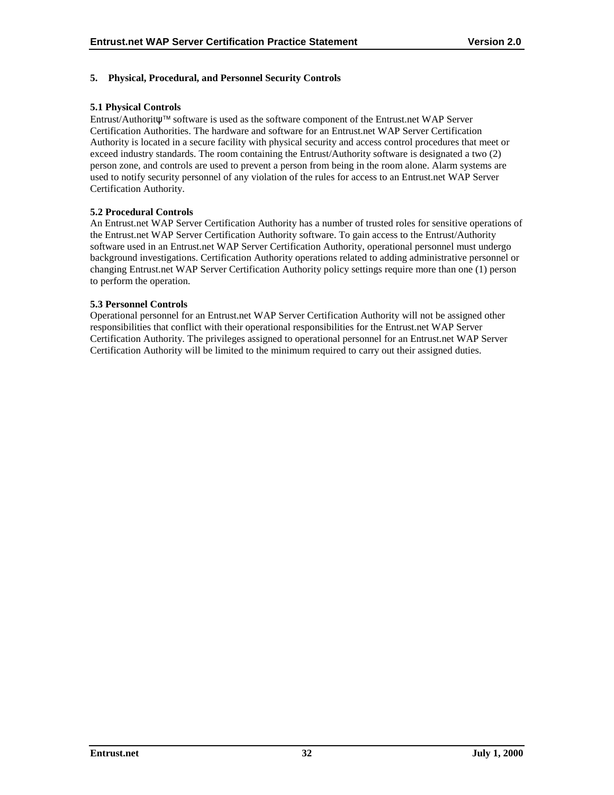## <span id="page-36-0"></span>**5. Physical, Procedural, and Personnel Security Controls**

## **5.1 Physical Controls**

Entrust/Authoritψ software is used as the software component of the Entrust.net WAP Server Certification Authorities. The hardware and software for an Entrust.net WAP Server Certification Authority is located in a secure facility with physical security and access control procedures that meet or exceed industry standards. The room containing the Entrust/Authority software is designated a two (2) person zone, and controls are used to prevent a person from being in the room alone. Alarm systems are used to notify security personnel of any violation of the rules for access to an Entrust.net WAP Server Certification Authority.

#### **5.2 Procedural Controls**

An Entrust.net WAP Server Certification Authority has a number of trusted roles for sensitive operations of the Entrust.net WAP Server Certification Authority software. To gain access to the Entrust/Authority software used in an Entrust.net WAP Server Certification Authority, operational personnel must undergo background investigations. Certification Authority operations related to adding administrative personnel or changing Entrust.net WAP Server Certification Authority policy settings require more than one (1) person to perform the operation.

#### **5.3 Personnel Controls**

Operational personnel for an Entrust.net WAP Server Certification Authority will not be assigned other responsibilities that conflict with their operational responsibilities for the Entrust.net WAP Server Certification Authority. The privileges assigned to operational personnel for an Entrust.net WAP Server Certification Authority will be limited to the minimum required to carry out their assigned duties.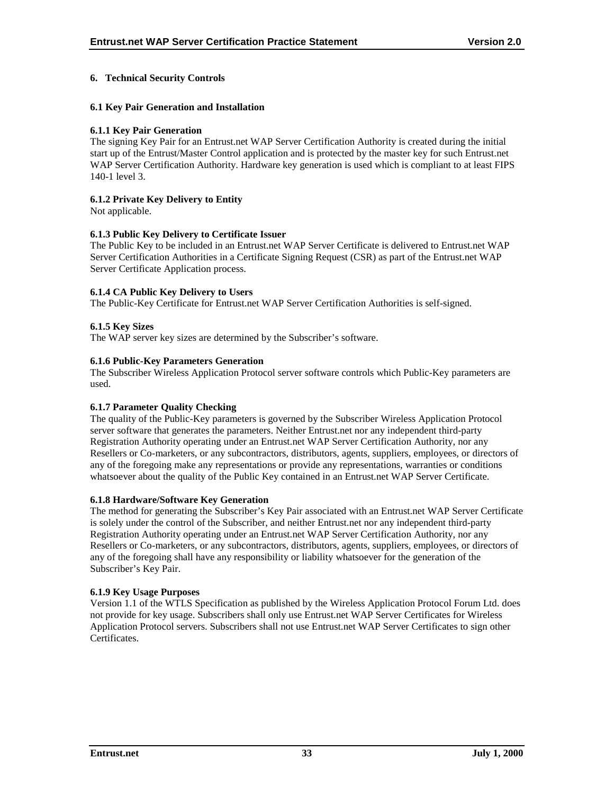## <span id="page-37-0"></span>**6. Technical Security Controls**

#### **6.1 Key Pair Generation and Installation**

#### **6.1.1 Key Pair Generation**

The signing Key Pair for an Entrust.net WAP Server Certification Authority is created during the initial start up of the Entrust/Master Control application and is protected by the master key for such Entrust.net WAP Server Certification Authority. Hardware key generation is used which is compliant to at least FIPS 140-1 level 3.

## **6.1.2 Private Key Delivery to Entity**

Not applicable.

#### **6.1.3 Public Key Delivery to Certificate Issuer**

The Public Key to be included in an Entrust.net WAP Server Certificate is delivered to Entrust.net WAP Server Certification Authorities in a Certificate Signing Request (CSR) as part of the Entrust.net WAP Server Certificate Application process.

#### **6.1.4 CA Public Key Delivery to Users**

The Public-Key Certificate for Entrust.net WAP Server Certification Authorities is self-signed.

#### **6.1.5 Key Sizes**

The WAP server key sizes are determined by the Subscriber's software.

#### **6.1.6 Public-Key Parameters Generation**

The Subscriber Wireless Application Protocol server software controls which Public-Key parameters are used.

#### **6.1.7 Parameter Quality Checking**

The quality of the Public-Key parameters is governed by the Subscriber Wireless Application Protocol server software that generates the parameters. Neither Entrust.net nor any independent third-party Registration Authority operating under an Entrust.net WAP Server Certification Authority, nor any Resellers or Co-marketers, or any subcontractors, distributors, agents, suppliers, employees, or directors of any of the foregoing make any representations or provide any representations, warranties or conditions whatsoever about the quality of the Public Key contained in an Entrust.net WAP Server Certificate.

#### **6.1.8 Hardware/Software Key Generation**

The method for generating the Subscriber's Key Pair associated with an Entrust.net WAP Server Certificate is solely under the control of the Subscriber, and neither Entrust.net nor any independent third-party Registration Authority operating under an Entrust.net WAP Server Certification Authority, nor any Resellers or Co-marketers, or any subcontractors, distributors, agents, suppliers, employees, or directors of any of the foregoing shall have any responsibility or liability whatsoever for the generation of the Subscriber's Key Pair.

#### **6.1.9 Key Usage Purposes**

Version 1.1 of the WTLS Specification as published by the Wireless Application Protocol Forum Ltd. does not provide for key usage. Subscribers shall only use Entrust.net WAP Server Certificates for Wireless Application Protocol servers. Subscribers shall not use Entrust.net WAP Server Certificates to sign other **Certificates**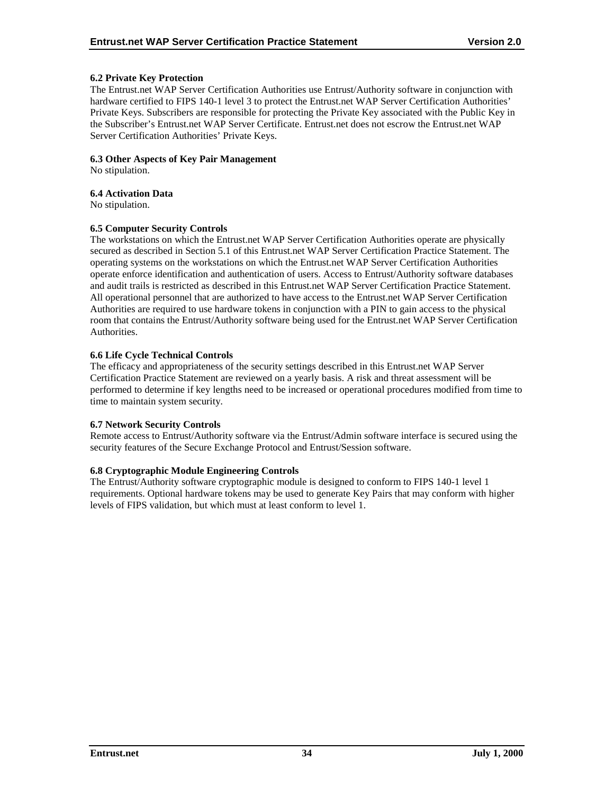#### <span id="page-38-0"></span>**6.2 Private Key Protection**

The Entrust.net WAP Server Certification Authorities use Entrust/Authority software in conjunction with hardware certified to FIPS 140-1 level 3 to protect the Entrust.net WAP Server Certification Authorities' Private Keys. Subscribers are responsible for protecting the Private Key associated with the Public Key in the Subscriber's Entrust.net WAP Server Certificate. Entrust.net does not escrow the Entrust.net WAP Server Certification Authorities' Private Keys.

#### **6.3 Other Aspects of Key Pair Management**

No stipulation.

#### **6.4 Activation Data**

No stipulation.

#### **6.5 Computer Security Controls**

The workstations on which the Entrust.net WAP Server Certification Authorities operate are physically secured as described in Section 5.1 of this Entrust.net WAP Server Certification Practice Statement. The operating systems on the workstations on which the Entrust.net WAP Server Certification Authorities operate enforce identification and authentication of users. Access to Entrust/Authority software databases and audit trails is restricted as described in this Entrust.net WAP Server Certification Practice Statement. All operational personnel that are authorized to have access to the Entrust.net WAP Server Certification Authorities are required to use hardware tokens in conjunction with a PIN to gain access to the physical room that contains the Entrust/Authority software being used for the Entrust.net WAP Server Certification Authorities.

#### **6.6 Life Cycle Technical Controls**

The efficacy and appropriateness of the security settings described in this Entrust.net WAP Server Certification Practice Statement are reviewed on a yearly basis. A risk and threat assessment will be performed to determine if key lengths need to be increased or operational procedures modified from time to time to maintain system security.

#### **6.7 Network Security Controls**

Remote access to Entrust/Authority software via the Entrust/Admin software interface is secured using the security features of the Secure Exchange Protocol and Entrust/Session software.

#### **6.8 Cryptographic Module Engineering Controls**

The Entrust/Authority software cryptographic module is designed to conform to FIPS 140-1 level 1 requirements. Optional hardware tokens may be used to generate Key Pairs that may conform with higher levels of FIPS validation, but which must at least conform to level 1.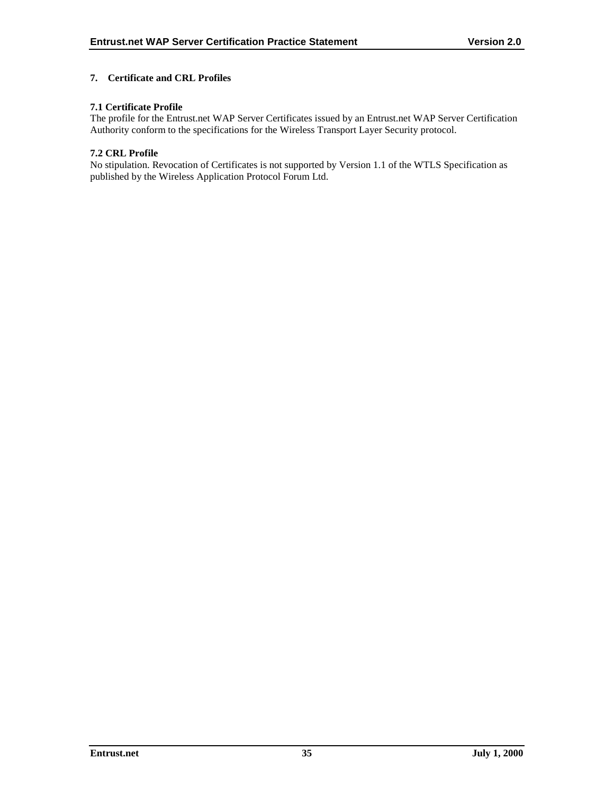## <span id="page-39-0"></span>**7. Certificate and CRL Profiles**

## **7.1 Certificate Profile**

The profile for the Entrust.net WAP Server Certificates issued by an Entrust.net WAP Server Certification Authority conform to the specifications for the Wireless Transport Layer Security protocol.

#### **7.2 CRL Profile**

No stipulation. Revocation of Certificates is not supported by Version 1.1 of the WTLS Specification as published by the Wireless Application Protocol Forum Ltd.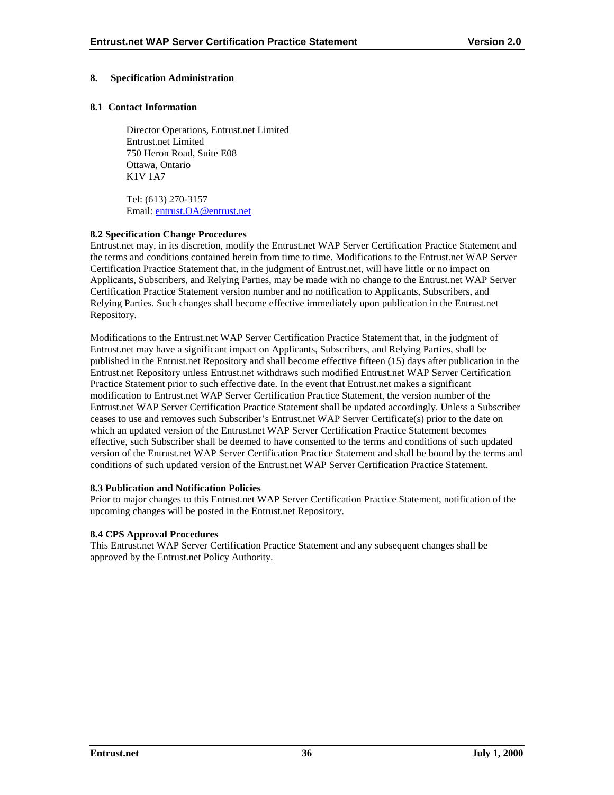## <span id="page-40-0"></span>**8. Specification Administration**

#### **8.1 Contact Information**

Director Operations, Entrust.net Limited Entrust.net Limited 750 Heron Road, Suite E08 Ottawa, Ontario K1V 1A7

Tel: (613) 270-3157 Email: [entrust.OA@entrust.net](mailto:entrust.OA@entrust.net)

#### **8.2 Specification Change Procedures**

Entrust.net may, in its discretion, modify the Entrust.net WAP Server Certification Practice Statement and the terms and conditions contained herein from time to time. Modifications to the Entrust.net WAP Server Certification Practice Statement that, in the judgment of Entrust.net, will have little or no impact on Applicants, Subscribers, and Relying Parties, may be made with no change to the Entrust.net WAP Server Certification Practice Statement version number and no notification to Applicants, Subscribers, and Relying Parties. Such changes shall become effective immediately upon publication in the Entrust.net Repository.

Modifications to the Entrust.net WAP Server Certification Practice Statement that, in the judgment of Entrust.net may have a significant impact on Applicants, Subscribers, and Relying Parties, shall be published in the Entrust.net Repository and shall become effective fifteen (15) days after publication in the Entrust.net Repository unless Entrust.net withdraws such modified Entrust.net WAP Server Certification Practice Statement prior to such effective date. In the event that Entrust.net makes a significant modification to Entrust.net WAP Server Certification Practice Statement, the version number of the Entrust.net WAP Server Certification Practice Statement shall be updated accordingly. Unless a Subscriber ceases to use and removes such Subscriber's Entrust.net WAP Server Certificate(s) prior to the date on which an updated version of the Entrust.net WAP Server Certification Practice Statement becomes effective, such Subscriber shall be deemed to have consented to the terms and conditions of such updated version of the Entrust.net WAP Server Certification Practice Statement and shall be bound by the terms and conditions of such updated version of the Entrust.net WAP Server Certification Practice Statement.

## **8.3 Publication and Notification Policies**

Prior to major changes to this Entrust.net WAP Server Certification Practice Statement, notification of the upcoming changes will be posted in the Entrust.net Repository.

#### **8.4 CPS Approval Procedures**

This Entrust.net WAP Server Certification Practice Statement and any subsequent changes shall be approved by the Entrust.net Policy Authority.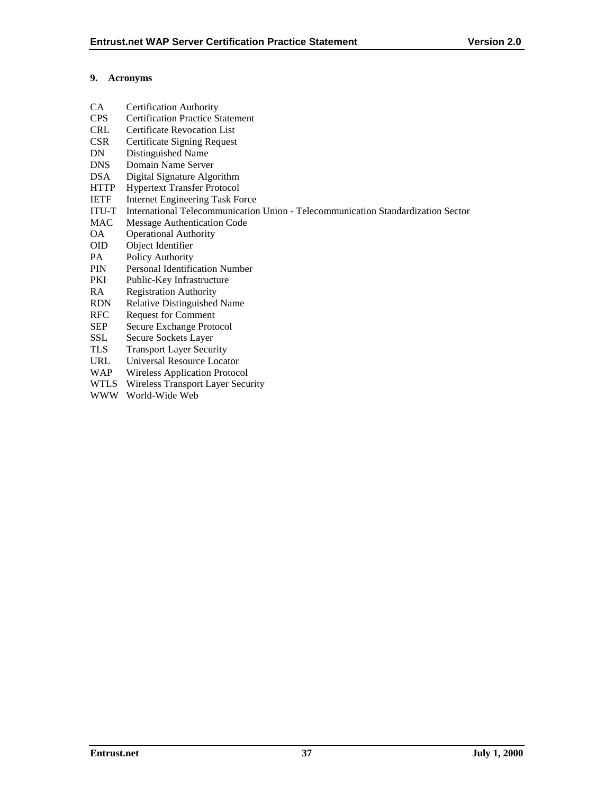## <span id="page-41-0"></span>**9. Acronyms**

- CA Certification Authority
- CPS Certification Practice Statement
- CRL Certificate Revocation List
- CSR Certificate Signing Request
- DN Distinguished Name
- DNS Domain Name Server
- DSA Digital Signature Algorithm
- HTTP Hypertext Transfer Protocol
- IETF Internet Engineering Task Force
- ITU-T International Telecommunication Union Telecommunication Standardization Sector
- MAC Message Authentication Code
- OA Operational Authority
- OID Object Identifier
- PA Policy Authority
- PIN Personal Identification Number
- PKI Public-Key Infrastructure
- RA Registration Authority
- RDN Relative Distinguished Name
- RFC Request for Comment
- SEP Secure Exchange Protocol
- SSL Secure Sockets Layer
- TLS Transport Layer Security
- URL Universal Resource Locator
- WAP Wireless Application Protocol
- WTLS Wireless Transport Layer Security
- WWW World-Wide Web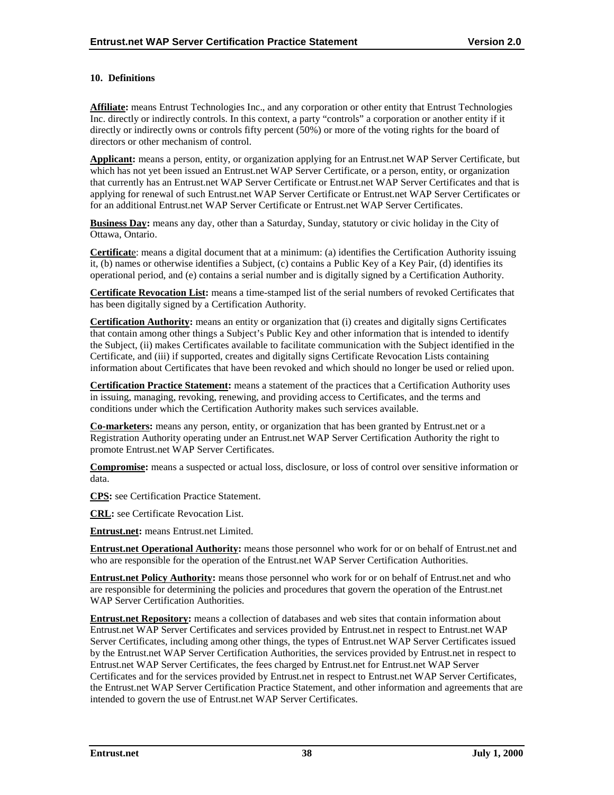## <span id="page-42-0"></span>**10. Definitions**

**Affiliate:** means Entrust Technologies Inc., and any corporation or other entity that Entrust Technologies Inc. directly or indirectly controls. In this context, a party "controls" a corporation or another entity if it directly or indirectly owns or controls fifty percent (50%) or more of the voting rights for the board of directors or other mechanism of control.

**Applicant:** means a person, entity, or organization applying for an Entrust.net WAP Server Certificate, but which has not yet been issued an Entrust.net WAP Server Certificate, or a person, entity, or organization that currently has an Entrust.net WAP Server Certificate or Entrust.net WAP Server Certificates and that is applying for renewal of such Entrust.net WAP Server Certificate or Entrust.net WAP Server Certificates or for an additional Entrust.net WAP Server Certificate or Entrust.net WAP Server Certificates.

**Business Day:** means any day, other than a Saturday, Sunday, statutory or civic holiday in the City of Ottawa, Ontario.

**Certificat**e: means a digital document that at a minimum: (a) identifies the Certification Authority issuing it, (b) names or otherwise identifies a Subject, (c) contains a Public Key of a Key Pair, (d) identifies its operational period, and (e) contains a serial number and is digitally signed by a Certification Authority.

**Certificate Revocation List:** means a time-stamped list of the serial numbers of revoked Certificates that has been digitally signed by a Certification Authority.

**Certification Authority:** means an entity or organization that (i) creates and digitally signs Certificates that contain among other things a Subject's Public Key and other information that is intended to identify the Subject, (ii) makes Certificates available to facilitate communication with the Subject identified in the Certificate, and (iii) if supported, creates and digitally signs Certificate Revocation Lists containing information about Certificates that have been revoked and which should no longer be used or relied upon.

**Certification Practice Statement:** means a statement of the practices that a Certification Authority uses in issuing, managing, revoking, renewing, and providing access to Certificates, and the terms and conditions under which the Certification Authority makes such services available.

**Co-marketers:** means any person, entity, or organization that has been granted by Entrust.net or a Registration Authority operating under an Entrust.net WAP Server Certification Authority the right to promote Entrust.net WAP Server Certificates.

**Compromise:** means a suspected or actual loss, disclosure, or loss of control over sensitive information or data.

**CPS:** see Certification Practice Statement.

**CRL:** see Certificate Revocation List.

**Entrust.net:** means Entrust.net Limited.

**Entrust.net Operational Authority:** means those personnel who work for or on behalf of Entrust.net and who are responsible for the operation of the Entrust.net WAP Server Certification Authorities.

**Entrust.net Policy Authority:** means those personnel who work for or on behalf of Entrust.net and who are responsible for determining the policies and procedures that govern the operation of the Entrust.net WAP Server Certification Authorities.

**Entrust.net Repository:** means a collection of databases and web sites that contain information about Entrust.net WAP Server Certificates and services provided by Entrust.net in respect to Entrust.net WAP Server Certificates, including among other things, the types of Entrust.net WAP Server Certificates issued by the Entrust.net WAP Server Certification Authorities, the services provided by Entrust.net in respect to Entrust.net WAP Server Certificates, the fees charged by Entrust.net for Entrust.net WAP Server Certificates and for the services provided by Entrust.net in respect to Entrust.net WAP Server Certificates, the Entrust.net WAP Server Certification Practice Statement, and other information and agreements that are intended to govern the use of Entrust.net WAP Server Certificates.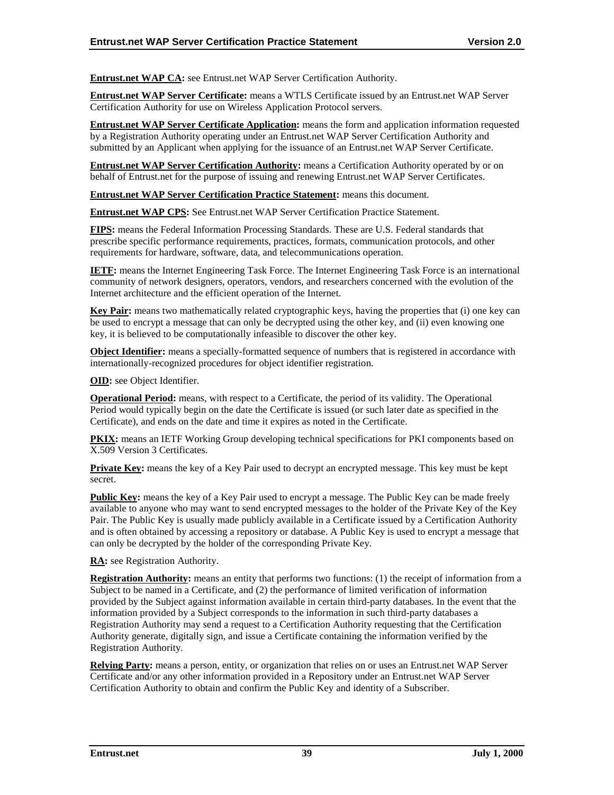**Entrust.net WAP CA:** see Entrust.net WAP Server Certification Authority.

**Entrust.net WAP Server Certificate:** means a WTLS Certificate issued by an Entrust.net WAP Server Certification Authority for use on Wireless Application Protocol servers.

**Entrust.net WAP Server Certificate Application:** means the form and application information requested by a Registration Authority operating under an Entrust.net WAP Server Certification Authority and submitted by an Applicant when applying for the issuance of an Entrust.net WAP Server Certificate.

**Entrust.net WAP Server Certification Authority:** means a Certification Authority operated by or on behalf of Entrust.net for the purpose of issuing and renewing Entrust.net WAP Server Certificates.

**Entrust.net WAP Server Certification Practice Statement:** means this document.

**Entrust.net WAP CPS:** See Entrust.net WAP Server Certification Practice Statement.

**FIPS:** means the Federal Information Processing Standards. These are U.S. Federal standards that prescribe specific performance requirements, practices, formats, communication protocols, and other requirements for hardware, software, data, and telecommunications operation.

**IETF:** means the Internet Engineering Task Force. The Internet Engineering Task Force is an international community of network designers, operators, vendors, and researchers concerned with the evolution of the Internet architecture and the efficient operation of the Internet.

**Key Pair:** means two mathematically related cryptographic keys, having the properties that (i) one key can be used to encrypt a message that can only be decrypted using the other key, and (ii) even knowing one key, it is believed to be computationally infeasible to discover the other key.

**Object Identifier:** means a specially-formatted sequence of numbers that is registered in accordance with internationally-recognized procedures for object identifier registration.

**OID:** see Object Identifier.

**Operational Period:** means, with respect to a Certificate, the period of its validity. The Operational Period would typically begin on the date the Certificate is issued (or such later date as specified in the Certificate), and ends on the date and time it expires as noted in the Certificate.

**PKIX:** means an IETF Working Group developing technical specifications for PKI components based on X.509 Version 3 Certificates.

**Private Key:** means the key of a Key Pair used to decrypt an encrypted message. This key must be kept secret.

**Public Key:** means the key of a Key Pair used to encrypt a message. The Public Key can be made freely available to anyone who may want to send encrypted messages to the holder of the Private Key of the Key Pair. The Public Key is usually made publicly available in a Certificate issued by a Certification Authority and is often obtained by accessing a repository or database. A Public Key is used to encrypt a message that can only be decrypted by the holder of the corresponding Private Key.

**RA:** see Registration Authority.

**Registration Authority:** means an entity that performs two functions: (1) the receipt of information from a Subject to be named in a Certificate, and (2) the performance of limited verification of information provided by the Subject against information available in certain third-party databases. In the event that the information provided by a Subject corresponds to the information in such third-party databases a Registration Authority may send a request to a Certification Authority requesting that the Certification Authority generate, digitally sign, and issue a Certificate containing the information verified by the Registration Authority.

**Relying Party:** means a person, entity, or organization that relies on or uses an Entrust.net WAP Server Certificate and/or any other information provided in a Repository under an Entrust.net WAP Server Certification Authority to obtain and confirm the Public Key and identity of a Subscriber.